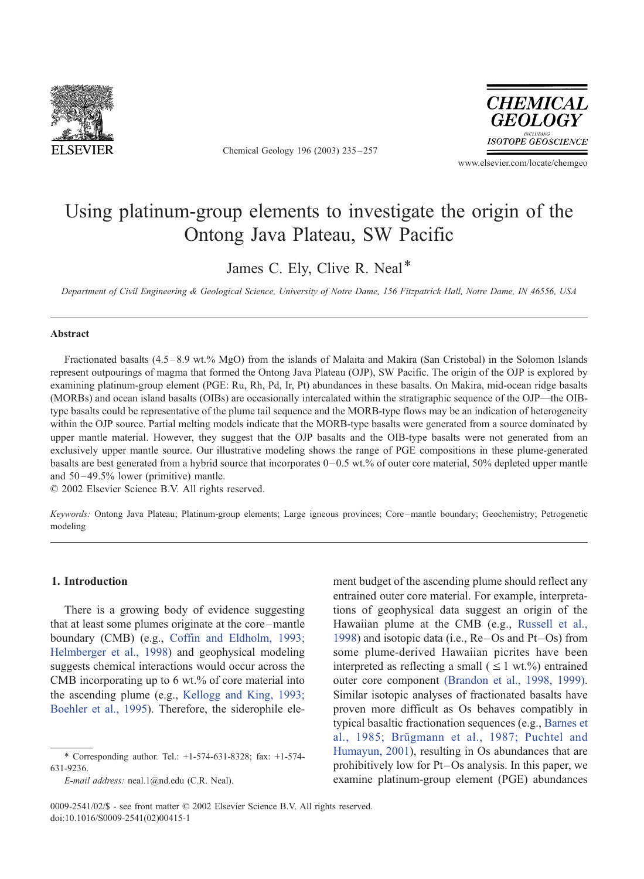

Chemical Geology 196 (2003) 235 – 257



www.elsevier.com/locate/chemgeo

# Using platinum-group elements to investigate the origin of the Ontong Java Plateau, SW Pacific

James C. Ely, Clive R. Neal\*

Department of Civil Engineering & Geological Science, University of Notre Dame, 156 Fitzpatrick Hall, Notre Dame, IN 46556, USA

## Abstract

Fractionated basalts (4.5 – 8.9 wt.% MgO) from the islands of Malaita and Makira (San Cristobal) in the Solomon Islands represent outpourings of magma that formed the Ontong Java Plateau (OJP), SW Pacific. The origin of the OJP is explored by examining platinum-group element (PGE: Ru, Rh, Pd, Ir, Pt) abundances in these basalts. On Makira, mid-ocean ridge basalts (MORBs) and ocean island basalts (OIBs) are occasionally intercalated within the stratigraphic sequence of the OJP—the OIBtype basalts could be representative of the plume tail sequence and the MORB-type flows may be an indication of heterogeneity within the OJP source. Partial melting models indicate that the MORB-type basalts were generated from a source dominated by upper mantle material. However, they suggest that the OJP basalts and the OIB-type basalts were not generated from an exclusively upper mantle source. Our illustrative modeling shows the range of PGE compositions in these plume-generated basalts are best generated from a hybrid source that incorporates  $0-0.5$  wt.% of outer core material, 50% depleted upper mantle and 50 – 49.5% lower (primitive) mantle.

 $© 2002 Elsevier Science B.V. All rights reserved.$ 

Keywords: Ontong Java Plateau; Platinum-group elements; Large igneous provinces; Core-mantle boundary; Geochemistry; Petrogenetic modeling

# 1. Introduction

There is a growing body of evidence suggesting that at least some plumes originate at the core –mantle boundary (CMB) (e.g., [Coffin and Eldholm, 1993;](#page-20-0) Helmberger et al., 1998) and geophysical modeling suggests chemical interactions would occur across the CMB incorporating up to 6 wt.% of core material into the ascending plume (e.g., [Kellogg and King, 1993;](#page-21-0) Boehler et al., 1995). Therefore, the siderophile ele-

E-mail address: neal.1@nd.edu (C.R. Neal).

ment budget of the ascending plume should reflect any entrained outer core material. For example, interpretations of geophysical data suggest an origin of the Hawaiian plume at the CMB (e.g., [Russell et al.,](#page-22-0) 1998) and isotopic data (i.e.,  $Re-Os$  and  $Pt-Os$ ) from some plume-derived Hawaiian picrites have been interpreted as reflecting a small ( $\leq 1$  wt.%) entrained outer core component [\(Brandon et al., 1998, 1999\).](#page-20-0) Similar isotopic analyses of fractionated basalts have proven more difficult as Os behaves compatibly in typical basaltic fractionation sequences (e.g., [Barnes et](#page-19-0) al., 1985; Brügmann et al., 1987; Puchtel and Humayun, 2001), resulting in Os abundances that are prohibitively low for Pt–Os analysis. In this paper, we examine platinum-group element (PGE) abundances

<sup>\*</sup> Corresponding author. Tel.: +1-574-631-8328; fax: +1-574- 631-9236.

<sup>0009-2541/02/\$ -</sup> see front matter © 2002 Elsevier Science B.V. All rights reserved. doi:10.1016/S0009-2541(02)00415-1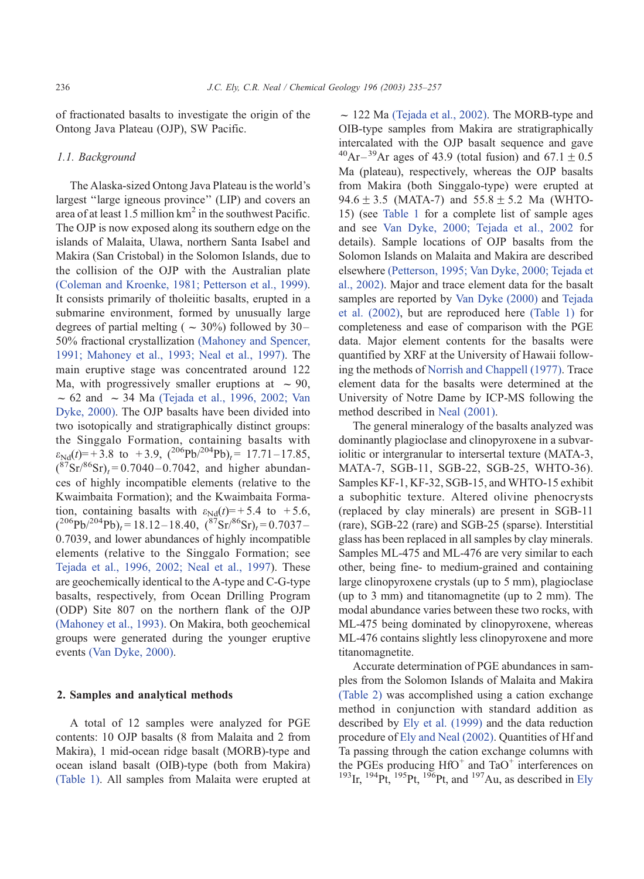of fractionated basalts to investigate the origin of the Ontong Java Plateau (OJP), SW Pacific.

### 1.1. Background

The Alaska-sized Ontong Java Plateau is the world's largest ''large igneous province'' (LIP) and covers an area of at least 1.5 million  $km^2$  in the southwest Pacific. The OJP is now exposed along its southern edge on the islands of Malaita, Ulawa, northern Santa Isabel and Makira (San Cristobal) in the Solomon Islands, due to the collision of the OJP with the Australian plate [\(Coleman and Kroenke, 1981; Petterson et al., 1999\).](#page-20-0) It consists primarily of tholeiitic basalts, erupted in a submarine environment, formed by unusually large degrees of partial melting ( $\sim$  30%) followed by 30– 50% fractional crystallization [\(Mahoney and Spencer,](#page-21-0) 1991; Mahoney et al., 1993; Neal et al., 1997). The main eruptive stage was concentrated around 122 Ma, with progressively smaller eruptions at  $\sim 90$ ,  $\sim$  62 and  $\sim$  34 Ma [\(Tejada et al., 1996, 2002; Van](#page-22-0) Dyke, 2000). The OJP basalts have been divided into two isotopically and stratigraphically distinct groups: the Singgalo Formation, containing basalts with  $\varepsilon_{Nd}(t) = +3.8$  to  $+3.9$ ,  $\left(\frac{206}{\text{Pb}}\right)^{204}$  $\text{Pb}_{it} = 17.71 - 17.85$ ,  $(\frac{87}{\text{Sr}})^{86}\text{Sr})_t = 0.7040 - 0.7042$ , and higher abundances of highly incompatible elements (relative to the Kwaimbaita Formation); and the Kwaimbaita Formation, containing basalts with  $\varepsilon_{Nd}(t) = +5.4$  to  $+5.6$ ,  $({}^{206}Pb/{}^{204}Pb)_t = 18.12 - 18.40, ({}^{87}Sr/{}^{86}Sr)_t = 0.7037 -$ 0.7039, and lower abundances of highly incompatible elements (relative to the Singgalo Formation; see [Tejada et al., 1996, 2002; Neal et al., 1997\)](#page-22-0). These are geochemically identical to the A-type and C-G-type basalts, respectively, from Ocean Drilling Program (ODP) Site 807 on the northern flank of the OJP [\(Mahoney et al., 1993\).](#page-21-0) On Makira, both geochemical groups were generated during the younger eruptive events [\(Van Dyke, 2000\).](#page-22-0)

# 2. Samples and analytical methods

A total of 12 samples were analyzed for PGE contents: 10 OJP basalts (8 from Malaita and 2 from Makira), 1 mid-ocean ridge basalt (MORB)-type and ocean island basalt (OIB)-type (both from Makira) [\(Table 1\)](#page-2-0). All samples from Malaita were erupted at

 $\sim$  122 Ma [\(Tejada et al., 2002\).](#page-22-0) The MORB-type and OIB-type samples from Makira are stratigraphically intercalated with the OJP basalt sequence and gave  $^{40}Ar-^{39}Ar$  ages of 43.9 (total fusion) and 67.1  $\pm$  0.5 Ma (plateau), respectively, whereas the OJP basalts from Makira (both Singgalo-type) were erupted at 94.6  $\pm$  3.5 (MATA-7) and 55.8  $\pm$  5.2 Ma (WHTO-15) (see [Table 1](#page-2-0) for a complete list of sample ages and see [Van Dyke, 2000; Tejada et al., 2002](#page-22-0) for details). Sample locations of OJP basalts from the Solomon Islands on Malaita and Makira are described elsewhere [\(Petterson, 1995; Van Dyke, 2000; Tejada et](#page-21-0) al., 2002). Major and trace element data for the basalt samples are reported by [Van Dyke \(2000\)](#page-22-0) and [Tejada](#page-22-0) et al. (2002), but are reproduced here [\(Table 1\)](#page-2-0) for completeness and ease of comparison with the PGE data. Major element contents for the basalts were quantified by XRF at the University of Hawaii following the methods of [Norrish and Chappell \(1977\).](#page-21-0) Trace element data for the basalts were determined at the University of Notre Dame by ICP-MS following the method described in [Neal \(2001\).](#page-21-0)

The general mineralogy of the basalts analyzed was dominantly plagioclase and clinopyroxene in a subvariolitic or intergranular to intersertal texture (MATA-3, MATA-7, SGB-11, SGB-22, SGB-25, WHTO-36). Samples KF-1, KF-32, SGB-15, and WHTO-15 exhibit a subophitic texture. Altered olivine phenocrysts (replaced by clay minerals) are present in SGB-11 (rare), SGB-22 (rare) and SGB-25 (sparse). Interstitial glass has been replaced in all samples by clay minerals. Samples ML-475 and ML-476 are very similar to each other, being fine- to medium-grained and containing large clinopyroxene crystals (up to 5 mm), plagioclase (up to 3 mm) and titanomagnetite (up to 2 mm). The modal abundance varies between these two rocks, with ML-475 being dominated by clinopyroxene, whereas ML-476 contains slightly less clinopyroxene and more titanomagnetite.

Accurate determination of PGE abundances in samples from the Solomon Islands of Malaita and Makira [\(Table 2\)](#page-3-0) was accomplished using a cation exchange method in conjunction with standard addition as described by [Ely et al. \(1999\)](#page-20-0) and the data reduction procedure of [Ely and Neal \(2002\).](#page-20-0) Quantities of Hf and Ta passing through the cation exchange columns with the PGEs producing  $HfO<sup>+</sup>$  and TaO<sup>+</sup> interferences on <sup>193</sup>Ir, <sup>194</sup>Pt, <sup>195</sup>Pt, <sup>196</sup>Pt, and <sup>197</sup>Au, as described in [Ely](#page-20-0)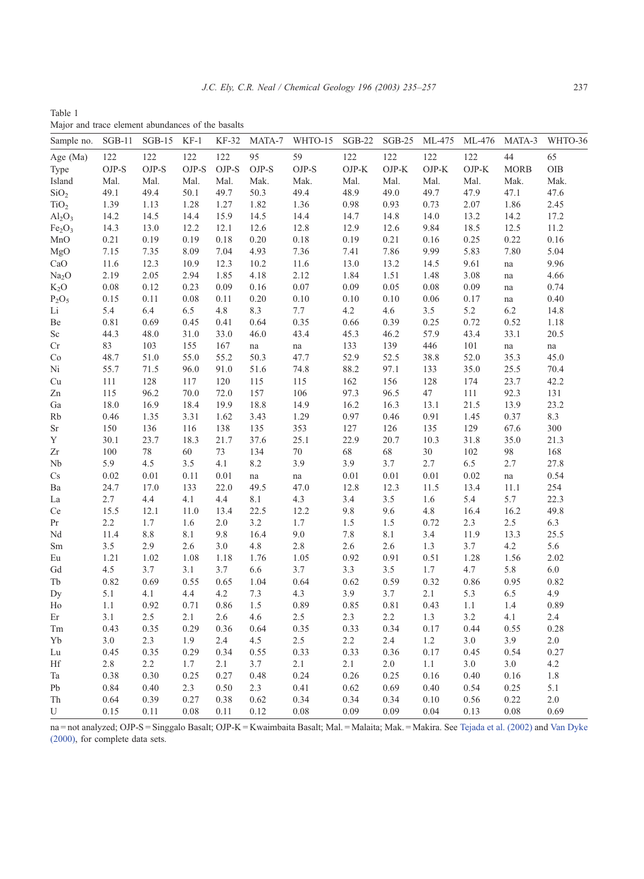<span id="page-2-0"></span>Table 1 Major and trace element abundances of the basalts

| Sample no.                     | $SGB-11$ | $SGB-15$ | $KF-1$ | KF-32 | MATA-7         | WHTO-15             | <b>SGB-22</b> | $SGB-25$ | ML-475  | ML-476  | MATA-3      | WHTO-36 |
|--------------------------------|----------|----------|--------|-------|----------------|---------------------|---------------|----------|---------|---------|-------------|---------|
| Age (Ma)                       | 122      | 122      | 122    | 122   | 95             | 59                  | 122           | 122      | 122     | 122     | 44          | 65      |
| Type                           | OJP-S    | OJP-S    | OJP-S  | OJP-S | $_{\rm OJP-S}$ | OJP-S               | $OJP-K$       | $OJP-K$  | $OJP-K$ | $OJP-K$ | <b>MORB</b> | OIB     |
| Island                         | Mal.     | Mal.     | Mal.   | Mal.  | Mak.           | Mak.                | Mal.          | Mal.     | Mal.    | Mal.    | Mak.        | Mak.    |
| SiO <sub>2</sub>               | 49.1     | 49.4     | 50.1   | 49.7  | 50.3           | 49.4                | 48.9          | 49.0     | 49.7    | 47.9    | 47.1        | 47.6    |
| TiO <sub>2</sub>               | 1.39     | 1.13     | 1.28   | 1.27  | 1.82           | 1.36                | 0.98          | 0.93     | 0.73    | 2.07    | 1.86        | 2.45    |
| $Al_2O_3$                      | 14.2     | 14.5     | 14.4   | 15.9  | 14.5           | 14.4                | 14.7          | 14.8     | 14.0    | 13.2    | 14.2        | 17.2    |
| Fe <sub>2</sub> O <sub>3</sub> | 14.3     | 13.0     | 12.2   | 12.1  | 12.6           | 12.8                | 12.9          | 12.6     | 9.84    | 18.5    | 12.5        | 11.2    |
| MnO                            | 0.21     | 0.19     | 0.19   | 0.18  | 0.20           | 0.18                | 0.19          | 0.21     | 0.16    | 0.25    | 0.22        | 0.16    |
| MgO                            | 7.15     | 7.35     | 8.09   | 7.04  | 4.93           | 7.36                | 7.41          | 7.86     | 9.99    | 5.83    | 7.80        | 5.04    |
| CaO                            | 11.6     | 12.3     | 10.9   | 12.3  | 10.2           | 11.6                | 13.0          | 13.2     | 14.5    | 9.61    | na          | 9.96    |
| Na <sub>2</sub> O              | 2.19     | 2.05     | 2.94   | 1.85  | 4.18           | 2.12                | 1.84          | 1.51     | 1.48    | 3.08    | na          | 4.66    |
| $K_2O$                         | 0.08     | 0.12     | 0.23   | 0.09  | 0.16           | 0.07                | 0.09          | 0.05     | 0.08    | 0.09    | na          | 0.74    |
| $P_2O_5$                       | 0.15     | 0.11     | 0.08   | 0.11  | 0.20           | 0.10                | 0.10          | 0.10     | 0.06    | 0.17    | na          | 0.40    |
| Li                             | 5.4      | 6.4      | 6.5    | 4.8   | 8.3            | 7.7                 | 4.2           | 4.6      | 3.5     | 5.2     | 6.2         | 14.8    |
| Be                             | 0.81     | 0.69     | 0.45   | 0.41  | 0.64           | 0.35                | 0.66          | 0.39     | 0.25    | 0.72    | 0.52        | 1.18    |
| Sc                             | 44.3     | 48.0     | 31.0   | 33.0  | 46.0           | 43.4                | 45.3          | 46.2     | 57.9    | 43.4    | 33.1        | 20.5    |
| Cr                             | 83       | 103      | 155    | 167   | na             | $\operatorname{na}$ | 133           | 139      | 446     | $101\,$ | na          | na      |
| Co                             | 48.7     | 51.0     | 55.0   | 55.2  | 50.3           | 47.7                | 52.9          | 52.5     | 38.8    | 52.0    | 35.3        | 45.0    |
| Ni                             | 55.7     | 71.5     | 96.0   | 91.0  | 51.6           | 74.8                | 88.2          | 97.1     | 133     | 35.0    | 25.5        | 70.4    |
| Cu                             | 111      | 128      | 117    | 120   | 115            | 115                 | 162           | 156      | 128     | 174     | 23.7        | 42.2    |
| Zn                             | 115      | 96.2     | 70.0   | 72.0  | 157            | 106                 | 97.3          | 96.5     | 47      | $111\,$ | 92.3        | 131     |
| Ga                             | 18.0     | 16.9     | 18.4   | 19.9  | 18.8           | 14.9                | 16.2          | 16.3     | 13.1    | 21.5    | 13.9        | 23.2    |
| Rb                             | 0.46     | 1.35     | 3.31   | 1.62  | 3.43           | 1.29                | 0.97          | 0.46     | 0.91    | 1.45    | 0.37        | 8.3     |
| Sr                             | 150      | 136      | 116    | 138   | 135            | 353                 | 127           | 126      | 135     | 129     | 67.6        | 300     |
| Y                              | 30.1     | 23.7     | 18.3   | 21.7  | 37.6           | 25.1                | 22.9          | 20.7     | 10.3    | 31.8    | 35.0        | 21.3    |
| Zr                             | 100      | 78       | 60     | 73    | 134            | $70\,$              | 68            | 68       | 30      | 102     | 98          | 168     |
| Nb                             | 5.9      | 4.5      | 3.5    | 4.1   | 8.2            | 3.9                 | 3.9           | 3.7      | 2.7     | 6.5     | 2.7         | 27.8    |
| Cs                             | 0.02     | 0.01     | 0.11   | 0.01  | na             | na                  | 0.01          | 0.01     | 0.01    | 0.02    | na          | 0.54    |
| Ba                             | 24.7     | 17.0     | 133    | 22.0  | 49.5           | 47.0                | 12.8          | 12.3     | 11.5    | 13.4    | 11.1        | 254     |
| La                             | 2.7      | 4.4      | 4.1    | 4.4   | $8.1\,$        | 4.3                 | 3.4           | 3.5      | $1.6\,$ | 5.4     | 5.7         | 22.3    |
| Ce                             | 15.5     | 12.1     | 11.0   | 13.4  | 22.5           | 12.2                | 9.8           | 9.6      | 4.8     | 16.4    | 16.2        | 49.8    |
| Pr                             | 2.2      | 1.7      | 1.6    | 2.0   | 3.2            | 1.7                 | 1.5           | $1.5\,$  | 0.72    | 2.3     | $2.5\,$     | 6.3     |
| Nd                             | 11.4     | $8.8\,$  | 8.1    | 9.8   | 16.4           | $9.0\,$             | 7.8           | $8.1\,$  | 3.4     | 11.9    | 13.3        | 25.5    |
| Sm                             | 3.5      | 2.9      | 2.6    | 3.0   | 4.8            | 2.8                 | 2.6           | 2.6      | 1.3     | 3.7     | 4.2         | 5.6     |
| Eu                             | 1.21     | 1.02     | 1.08   | 1.18  | 1.76           | 1.05                | 0.92          | 0.91     | 0.51    | 1.28    | 1.56        | 2.02    |
| Gd                             | 4.5      | 3.7      | 3.1    | 3.7   | 6.6            | 3.7                 | 3.3           | 3.5      | 1.7     | 4.7     | 5.8         | 6.0     |
| Tb                             | 0.82     | 0.69     | 0.55   | 0.65  | 1.04           | 0.64                | 0.62          | 0.59     | 0.32    | 0.86    | 0.95        | 0.82    |
| Dy                             | 5.1      | 4.1      | 4.4    | 4.2   | 7.3            | 4.3                 | 3.9           | 3.7      | 2.1     | 5.3     | 6.5         | 4.9     |
| Ho                             | 1.1      | 0.92     | 0.71   | 0.86  | 1.5            | 0.89                | 0.85          | 0.81     | 0.43    | 1.1     | 1.4         | 0.89    |
| Er                             | 3.1      | 2.5      | 2.1    | 2.6   | 4.6            | 2.5                 | 2.3           | 2.2      | 1.3     | 3.2     | 4.1         | 2.4     |
| Tm                             | 0.43     | 0.35     | 0.29   | 0.36  | 0.64           | 0.35                | 0.33          | 0.34     | 0.17    | 0.44    | 0.55        | 0.28    |
| Yb                             | 3.0      | 2.3      | 1.9    | 2.4   | 4.5            | 2.5                 | 2.2           | 2.4      | 1.2     | 3.0     | 3.9         | 2.0     |
| Lu                             | 0.45     | 0.35     | 0.29   | 0.34  | 0.55           | 0.33                | 0.33          | 0.36     | 0.17    | 0.45    | 0.54        | 0.27    |
| Hf                             | 2.8      | 2.2      | 1.7    | 2.1   | 3.7            | 2.1                 | 2.1           | 2.0      | 1.1     | 3.0     | 3.0         | 4.2     |
| Ta                             | 0.38     | 0.30     | 0.25   | 0.27  | 0.48           | 0.24                | 0.26          | 0.25     | 0.16    | 0.40    | 0.16        | 1.8     |
| Pb                             | 0.84     | 0.40     | 2.3    | 0.50  | 2.3            | 0.41                | 0.62          | 0.69     | 0.40    | 0.54    | 0.25        | 5.1     |
| Th                             | 0.64     | 0.39     | 0.27   | 0.38  | 0.62           | 0.34                | 0.34          | 0.34     | 0.10    | 0.56    | 0.22        | 2.0     |
| U                              | 0.15     | 0.11     | 0.08   | 0.11  | 0.12           | 0.08                | 0.09          | 0.09     | 0.04    | 0.13    | 0.08        | 0.69    |

[na = not analyzed; OJP-S = Singgalo Basalt; OJP-K = Kwaimbaita Basalt; Mal. = Malaita; Mak. = Makira. See](#page-22-0) Tejada et al. (2002) and Van Dyke (2000), for complete data sets.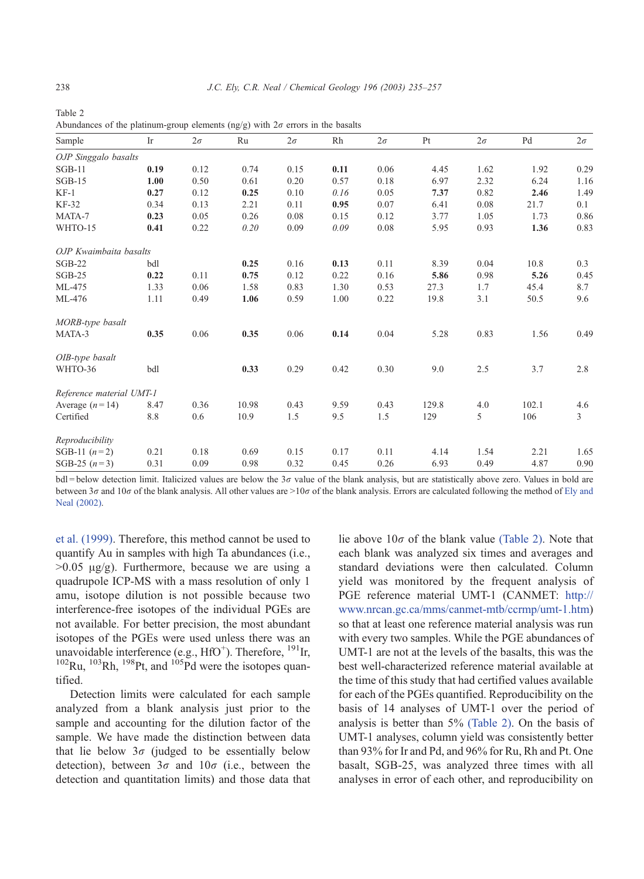| Sample                   | Ir   | $2\sigma$ | Ru    | $2\sigma$ | Rh   | $2\sigma$ | Pt    | $2\sigma$ | Pd    | $2\sigma$ |
|--------------------------|------|-----------|-------|-----------|------|-----------|-------|-----------|-------|-----------|
| OJP Singgalo basalts     |      |           |       |           |      |           |       |           |       |           |
| $SGB-11$                 | 0.19 | 0.12      | 0.74  | 0.15      | 0.11 | 0.06      | 4.45  | 1.62      | 1.92  | 0.29      |
| $SGB-15$                 | 1.00 | 0.50      | 0.61  | 0.20      | 0.57 | 0.18      | 6.97  | 2.32      | 6.24  | 1.16      |
| $KF-1$                   | 0.27 | 0.12      | 0.25  | 0.10      | 0.16 | 0.05      | 7.37  | 0.82      | 2.46  | 1.49      |
| <b>KF-32</b>             | 0.34 | 0.13      | 2.21  | 0.11      | 0.95 | 0.07      | 6.41  | 0.08      | 21.7  | 0.1       |
| MATA-7                   | 0.23 | 0.05      | 0.26  | 0.08      | 0.15 | 0.12      | 3.77  | 1.05      | 1.73  | 0.86      |
| WHTO-15                  | 0.41 | 0.22      | 0.20  | 0.09      | 0.09 | 0.08      | 5.95  | 0.93      | 1.36  | 0.83      |
| OJP Kwaimbaita basalts   |      |           |       |           |      |           |       |           |       |           |
| $SGB-22$                 | bdl  |           | 0.25  | 0.16      | 0.13 | 0.11      | 8.39  | 0.04      | 10.8  | 0.3       |
| $SGB-25$                 | 0.22 | 0.11      | 0.75  | 0.12      | 0.22 | 0.16      | 5.86  | 0.98      | 5.26  | 0.45      |
| ML-475                   | 1.33 | 0.06      | 1.58  | 0.83      | 1.30 | 0.53      | 27.3  | 1.7       | 45.4  | 8.7       |
| ML-476                   | 1.11 | 0.49      | 1.06  | 0.59      | 1.00 | 0.22      | 19.8  | 3.1       | 50.5  | 9.6       |
| MORB-type basalt         |      |           |       |           |      |           |       |           |       |           |
| MATA-3                   | 0.35 | 0.06      | 0.35  | 0.06      | 0.14 | 0.04      | 5.28  | 0.83      | 1.56  | 0.49      |
| OIB-type basalt          |      |           |       |           |      |           |       |           |       |           |
| WHTO-36                  | bdl  |           | 0.33  | 0.29      | 0.42 | 0.30      | 9.0   | 2.5       | 3.7   | 2.8       |
| Reference material UMT-1 |      |           |       |           |      |           |       |           |       |           |
| Average $(n=14)$         | 8.47 | 0.36      | 10.98 | 0.43      | 9.59 | 0.43      | 129.8 | 4.0       | 102.1 | 4.6       |
| Certified                | 8.8  | 0.6       | 10.9  | 1.5       | 9.5  | 1.5       | 129   | 5         | 106   | 3         |
| Reproducibility          |      |           |       |           |      |           |       |           |       |           |
| SGB-11 $(n=2)$           | 0.21 | 0.18      | 0.69  | 0.15      | 0.17 | 0.11      | 4.14  | 1.54      | 2.21  | 1.65      |
| SGB-25 $(n=3)$           | 0.31 | 0.09      | 0.98  | 0.32      | 0.45 | 0.26      | 6.93  | 0.49      | 4.87  | 0.90      |

<span id="page-3-0"></span>Table 2 Abundances of the platinum-group elements (ng/g) with  $2\sigma$  errors in the basalts

 $bdl = below detection limit. Italicized values are below the 3 $\sigma$  value of the blank analysis, but are statistically above zero. Values in bold are$ between  $3\sigma$  and  $10\sigma$  of the blank analysis. All other values are  $>10\sigma$  [of the blank analysis. Errors are calculated following the method of](#page-20-0) Ely and Neal (2002).

et al. (1999). Therefore, this method cannot be used to quantify Au in samples with high Ta abundances (i.e.,  $>0.05$   $\mu$ g/g). Furthermore, because we are using a quadrupole ICP-MS with a mass resolution of only 1 amu, isotope dilution is not possible because two interference-free isotopes of the individual PGEs are not available. For better precision, the most abundant isotopes of the PGEs were used unless there was an unavoidable interference (e.g.,  $HfO^{+}$ ). Therefore,  $^{191}$ Ir,  $^{102}$ Ru,  $^{103}$ Rh,  $^{198}$ Pt, and  $^{105}$ Pd were the isotopes quantified.

Detection limits were calculated for each sample analyzed from a blank analysis just prior to the sample and accounting for the dilution factor of the sample. We have made the distinction between data that lie below  $3\sigma$  (judged to be essentially below detection), between  $3\sigma$  and  $10\sigma$  (i.e., between the detection and quantitation limits) and those data that lie above  $10\sigma$  of the blank value (Table 2). Note that each blank was analyzed six times and averages and standard deviations were then calculated. Column yield was monitored by the frequent analysis of PGE reference material UMT-1 (CANMET: [http://]( http:\\www.nrcan.gc.ca\mms\canmet-mtb\ccrmp\umt-1.htm ) www.nrcan.gc.ca/mms/canmet-mtb/ccrmp/umt-1.htm) so that at least one reference material analysis was run with every two samples. While the PGE abundances of UMT-1 are not at the levels of the basalts, this was the best well-characterized reference material available at the time of this study that had certified values available for each of the PGEs quantified. Reproducibility on the basis of 14 analyses of UMT-1 over the period of analysis is better than 5% (Table 2). On the basis of UMT-1 analyses, column yield was consistently better than 93% for Ir and Pd, and 96% for Ru, Rh and Pt. One basalt, SGB-25, was analyzed three times with all analyses in error of each other, and reproducibility on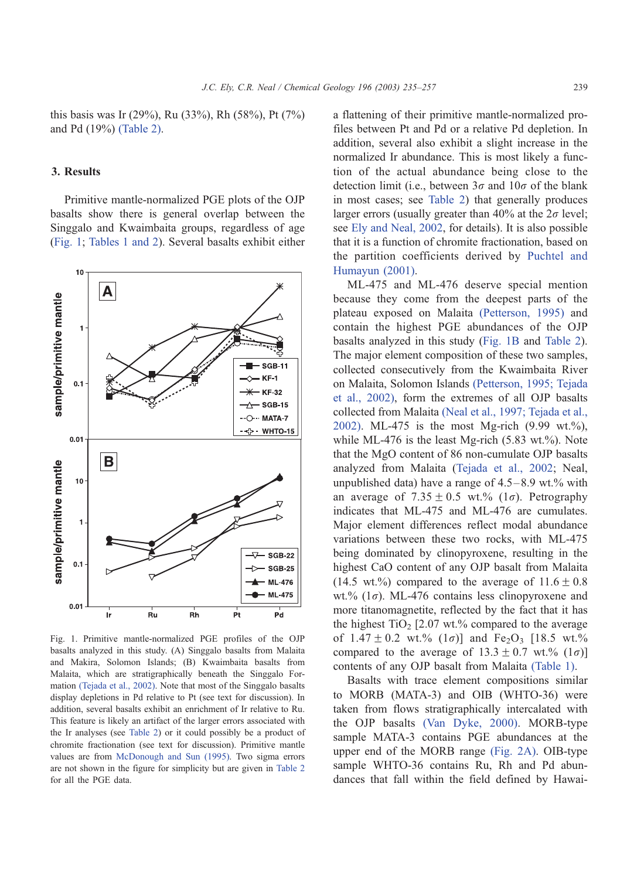<span id="page-4-0"></span>this basis was Ir (29%), Ru (33%), Rh (58%), Pt (7%) and Pd (19%) [\(Table 2\).](#page-3-0)

#### 3. Results

Primitive mantle-normalized PGE plots of the OJP basalts show there is general overlap between the Singgalo and Kwaimbaita groups, regardless of age (Fig. 1; [Tables 1 and 2\)](#page-2-0). Several basalts exhibit either



Fig. 1. Primitive mantle-normalized PGE profiles of the OJP basalts analyzed in this study. (A) Singgalo basalts from Malaita and Makira, Solomon Islands; (B) Kwaimbaita basalts from Malaita, which are stratigraphically beneath the Singgalo Formation [\(Tejada et al., 2002\).](#page-22-0) Note that most of the Singgalo basalts display depletions in Pd relative to Pt (see text for discussion). In addition, several basalts exhibit an enrichment of Ir relative to Ru. This feature is likely an artifact of the larger errors associated with the Ir analyses (see [Table 2\)](#page-3-0) or it could possibly be a product of chromite fractionation (see text for discussion). Primitive mantle values are from [McDonough and Sun \(1995\).](#page-21-0) Two sigma errors are not shown in the figure for simplicity but are given in [Table 2](#page-3-0) for all the PGE data.

a flattening of their primitive mantle-normalized profiles between Pt and Pd or a relative Pd depletion. In addition, several also exhibit a slight increase in the normalized Ir abundance. This is most likely a function of the actual abundance being close to the detection limit (i.e., between  $3\sigma$  and  $10\sigma$  of the blank in most cases; see [Table 2\)](#page-3-0) that generally produces larger errors (usually greater than 40% at the  $2\sigma$  level; see [Ely and Neal, 2002,](#page-20-0) for details). It is also possible that it is a function of chromite fractionation, based on the partition coefficients derived by [Puchtel and](#page-21-0) Humayun (2001).

ML-475 and ML-476 deserve special mention because they come from the deepest parts of the plateau exposed on Malaita [\(Petterson, 1995\)](#page-21-0) and contain the highest PGE abundances of the OJP basalts analyzed in this study (Fig. 1B and [Table 2\)](#page-3-0). The major element composition of these two samples, collected consecutively from the Kwaimbaita River on Malaita, Solomon Islands [\(Petterson, 1995; Tejada](#page-21-0) et al., 2002), form the extremes of all OJP basalts collected from Malaita [\(Neal et al., 1997; Tejada et al.,](#page-21-0) 2002). ML-475 is the most Mg-rich (9.99 wt.%), while ML-476 is the least Mg-rich  $(5.83 \text{ wt.})\%$ . Note that the MgO content of 86 non-cumulate OJP basalts analyzed from Malaita ([Tejada et al., 2002;](#page-22-0) Neal, unpublished data) have a range of  $4.5-8.9$  wt.% with an average of  $7.35 \pm 0.5$  wt.% (1 $\sigma$ ). Petrography indicates that ML-475 and ML-476 are cumulates. Major element differences reflect modal abundance variations between these two rocks, with ML-475 being dominated by clinopyroxene, resulting in the highest CaO content of any OJP basalt from Malaita (14.5 wt.%) compared to the average of  $11.6 \pm 0.8$ wt.% ( $1\sigma$ ). ML-476 contains less clinopyroxene and more titanomagnetite, reflected by the fact that it has the highest  $TiO<sub>2</sub>$  [2.07 wt.% compared to the average of  $1.47 \pm 0.2$  wt.%  $(1\sigma)$  and Fe<sub>2</sub>O<sub>3</sub> [18.5 wt.%] compared to the average of  $13.3 \pm 0.7$  wt.%  $(1\sigma)$ ] contents of any OJP basalt from Malaita [\(Table 1\).](#page-2-0)

Basalts with trace element compositions similar to MORB (MATA-3) and OIB (WHTO-36) were taken from flows stratigraphically intercalated with the OJP basalts [\(Van Dyke, 2000\).](#page-22-0) MORB-type sample MATA-3 contains PGE abundances at the upper end of the MORB range [\(Fig. 2A\).](#page-5-0) OIB-type sample WHTO-36 contains Ru, Rh and Pd abundances that fall within the field defined by Hawai-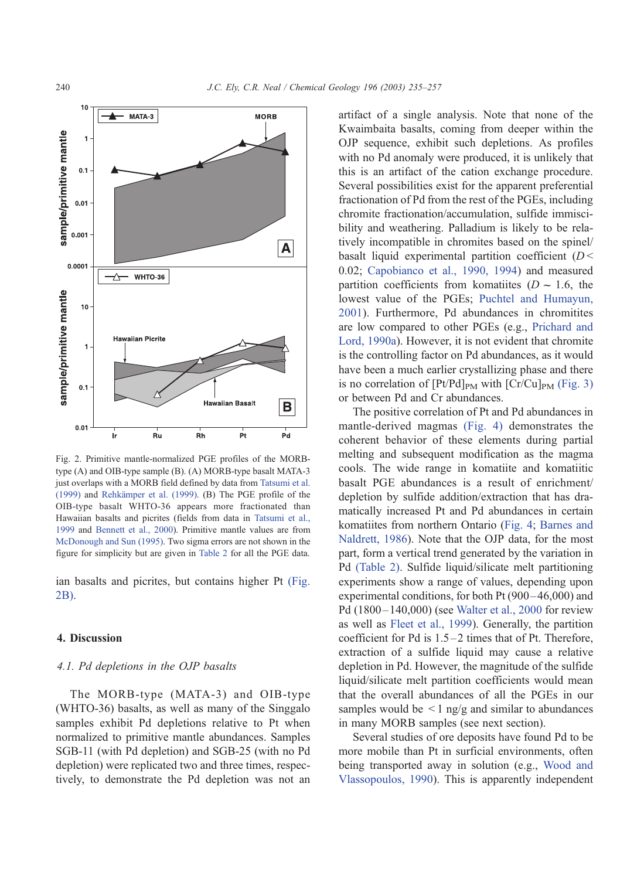<span id="page-5-0"></span>

Fig. 2. Primitive mantle-normalized PGE profiles of the MORBtype (A) and OIB-type sample (B). (A) MORB-type basalt MATA-3 just overlaps with a MORB field defined by data from [Tatsumi et al.](#page-22-0) (1999) and Rehkämper et al. (1999). (B) The PGE profile of the OIB-type basalt WHTO-36 appears more fractionated than Hawaiian basalts and picrites (fields from data in [Tatsumi et al.,](#page-22-0) 1999 and [Bennett et al., 2000\)](#page-19-0). Primitive mantle values are from [McDonough and Sun \(1995\).](#page-21-0) Two sigma errors are not shown in the figure for simplicity but are given in [Table 2](#page-3-0) for all the PGE data.

ian basalts and picrites, but contains higher Pt (Fig. 2B).

#### 4. Discussion

## 4.1. Pd depletions in the OJP basalts

The MORB-type (MATA-3) and OIB-type (WHTO-36) basalts, as well as many of the Singgalo samples exhibit Pd depletions relative to Pt when normalized to primitive mantle abundances. Samples SGB-11 (with Pd depletion) and SGB-25 (with no Pd depletion) were replicated two and three times, respectively, to demonstrate the Pd depletion was not an artifact of a single analysis. Note that none of the Kwaimbaita basalts, coming from deeper within the OJP sequence, exhibit such depletions. As profiles with no Pd anomaly were produced, it is unlikely that this is an artifact of the cation exchange procedure. Several possibilities exist for the apparent preferential fractionation of Pd from the rest of the PGEs, including chromite fractionation/accumulation, sulfide immiscibility and weathering. Palladium is likely to be relatively incompatible in chromites based on the spinel/ basalt liquid experimental partition coefficient  $(D <$ 0.02; [Capobianco et al., 1990, 1994\)](#page-20-0) and measured partition coefficients from komatiites ( $D \sim 1.6$ , the lowest value of the PGEs; [Puchtel and Humayun,](#page-21-0) 2001). Furthermore, Pd abundances in chromitites are low compared to other PGEs (e.g., [Prichard and](#page-21-0) Lord, 1990a). However, it is not evident that chromite is the controlling factor on Pd abundances, as it would have been a much earlier crystallizing phase and there is no correlation of  $[Pt/Pd]_{PM}$  with  $[Cr/Cu]_{PM}$  [\(Fig. 3\)](#page-6-0) or between Pd and Cr abundances.

The positive correlation of Pt and Pd abundances in mantle-derived magmas [\(Fig. 4\)](#page-7-0) demonstrates the coherent behavior of these elements during partial melting and subsequent modification as the magma cools. The wide range in komatiite and komatiitic basalt PGE abundances is a result of enrichment/ depletion by sulfide addition/extraction that has dramatically increased Pt and Pd abundances in certain komatiites from northern Ontario ([Fig. 4;](#page-7-0) [Barnes and](#page-19-0) Naldrett, 1986). Note that the OJP data, for the most part, form a vertical trend generated by the variation in Pd [\(Table 2\).](#page-3-0) Sulfide liquid/silicate melt partitioning experiments show a range of values, depending upon experimental conditions, for both Pt (900-46,000) and Pd (1800 – 140,000) (see [Walter et al., 2000](#page-22-0) for review as well as [Fleet et al., 1999\)](#page-20-0). Generally, the partition coefficient for Pd is  $1.5-2$  times that of Pt. Therefore, extraction of a sulfide liquid may cause a relative depletion in Pd. However, the magnitude of the sulfide liquid/silicate melt partition coefficients would mean that the overall abundances of all the PGEs in our samples would be  $\leq 1$  ng/g and similar to abundances in many MORB samples (see next section).

Several studies of ore deposits have found Pd to be more mobile than Pt in surficial environments, often being transported away in solution (e.g., [Wood and](#page-22-0) Vlassopoulos, 1990). This is apparently independent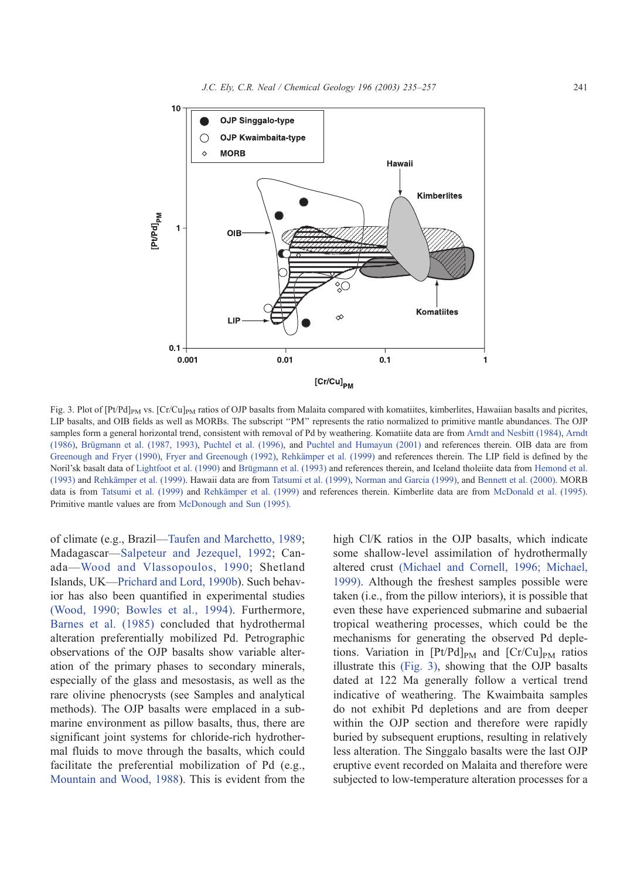<span id="page-6-0"></span>

Fig. 3. Plot of  $[Pt/Pd]_{PM}$  vs.  $[Cr/Cu]_{PM}$  ratios of OJP basalts from Malaita compared with komatiites, kimberlites, Hawaiian basalts and picrites, LIP basalts, and OIB fields as well as MORBs. The subscript ''PM'' represents the ratio normalized to primitive mantle abundances. The OJP samples form a general horizontal trend, consistent with removal of Pd by weathering. Komatiite data are from [Arndt and Nesbitt \(1984\),](#page-19-0) [Arndt](#page-19-0) (1986), Brügmann et al. (1987, 1993), [Puchtel et al. \(1996\),](#page-21-0) and [Puchtel and Humayun \(2001\)](#page-21-0) and references therein. OIB data are from [Greenough and Fryer \(1990\),](#page-20-0) [Fryer and Greenough \(1992\),](#page-20-0) Rehkämper et al. (1999) and references therein. The LIP field is defined by the Noril'sk basalt data of [Lightfoot et al. \(1990\)](#page-21-0) and Brügmann et al. (1993) and references therein, and Iceland tholeiite data from [Hemond et al.](#page-20-0) (1993) and [Rehka¨mper et al. \(1999\).](#page-21-0) Hawaii data are from [Tatsumi et al. \(1999\),](#page-22-0) [Norman and Garcia \(1999\),](#page-21-0) and [Bennett et al. \(2000\).](#page-19-0) MORB data is from [Tatsumi et al. \(1999\)](#page-22-0) and Rehkämper et al. (1999) and references therein. Kimberlite data are from [McDonald et al. \(1995\).](#page-21-0) Primitive mantle values are from [McDonough and Sun \(1995\).](#page-21-0)

of climate (e.g., Brazil—[Taufen and Marchetto, 1989;](#page-22-0) Madagascar—[Salpeteur and Jezequel, 1992;](#page-22-0) Canada—[Wood and Vlassopoulos, 1990;](#page-22-0) Shetland Islands, UK—[Prichard and Lord, 1990b\)](#page-21-0). Such behavior has also been quantified in experimental studies [\(Wood, 1990; Bowles et al., 1994\).](#page-22-0) Furthermore, [Barnes et al. \(1985\)](#page-19-0) concluded that hydrothermal alteration preferentially mobilized Pd. Petrographic observations of the OJP basalts show variable alteration of the primary phases to secondary minerals, especially of the glass and mesostasis, as well as the rare olivine phenocrysts (see Samples and analytical methods). The OJP basalts were emplaced in a submarine environment as pillow basalts, thus, there are significant joint systems for chloride-rich hydrothermal fluids to move through the basalts, which could facilitate the preferential mobilization of Pd (e.g., [Mountain and Wood, 1988\)](#page-21-0). This is evident from the

high Cl/K ratios in the OJP basalts, which indicate some shallow-level assimilation of hydrothermally altered crust [\(Michael and Cornell, 1996; Michael,](#page-21-0) 1999). Although the freshest samples possible were taken (i.e., from the pillow interiors), it is possible that even these have experienced submarine and subaerial tropical weathering processes, which could be the mechanisms for generating the observed Pd depletions. Variation in  $[Pt/Pd]_{PM}$  and  $[Cr/Cu]_{PM}$  ratios illustrate this (Fig. 3), showing that the OJP basalts dated at 122 Ma generally follow a vertical trend indicative of weathering. The Kwaimbaita samples do not exhibit Pd depletions and are from deeper within the OJP section and therefore were rapidly buried by subsequent eruptions, resulting in relatively less alteration. The Singgalo basalts were the last OJP eruptive event recorded on Malaita and therefore were subjected to low-temperature alteration processes for a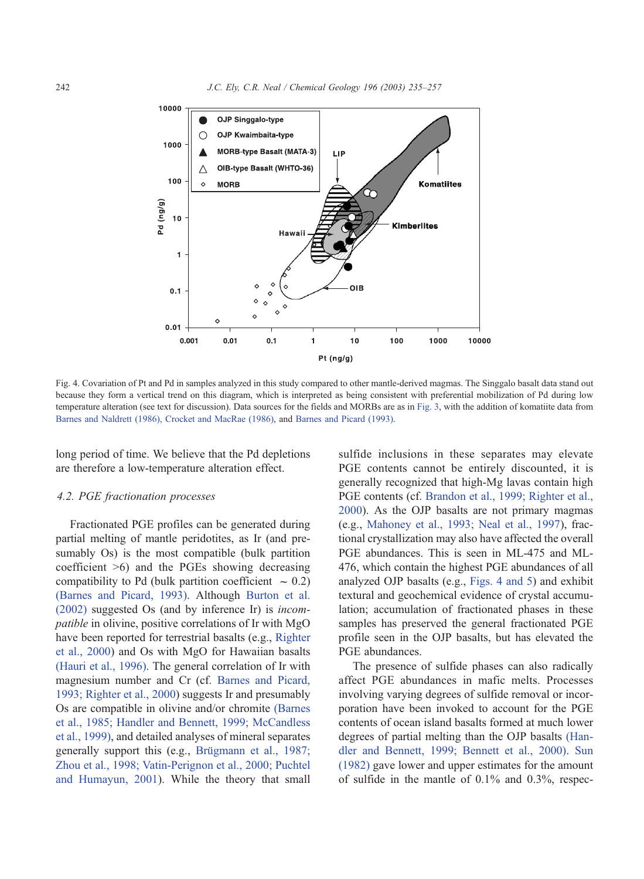<span id="page-7-0"></span>

Fig. 4. Covariation of Pt and Pd in samples analyzed in this study compared to other mantle-derived magmas. The Singgalo basalt data stand out because they form a vertical trend on this diagram, which is interpreted as being consistent with preferential mobilization of Pd during low temperature alteration (see text for discussion). Data sources for the fields and MORBs are as in [Fig. 3,](#page-6-0) with the addition of komatiite data from [Barnes and Naldrett \(1986\), Crocket and MacRae \(1986\),](#page-19-0) and [Barnes and Picard \(1993\).](#page-19-0)

long period of time. We believe that the Pd depletions are therefore a low-temperature alteration effect.

# 4.2. PGE fractionation processes

Fractionated PGE profiles can be generated during partial melting of mantle peridotites, as Ir (and presumably Os) is the most compatible (bulk partition coefficient >6) and the PGEs showing decreasing compatibility to Pd (bulk partition coefficient  $\sim 0.2$ ) [\(Barnes and Picard, 1993\).](#page-19-0) Although [Burton et al.](#page-20-0) (2002) suggested Os (and by inference Ir) is incompatible in olivine, positive correlations of Ir with MgO have been reported for terrestrial basalts (e.g., [Righter](#page-22-0) et al., 2000) and Os with MgO for Hawaiian basalts [\(Hauri et al., 1996\).](#page-20-0) The general correlation of Ir with magnesium number and Cr (cf. [Barnes and Picard,](#page-19-0) 1993; Righter et al., 2000) suggests Ir and presumably Os are compatible in olivine and/or chromite [\(Barnes](#page-19-0) et al., 1985; Handler and Bennett, 1999; McCandless et al., 1999), and detailed analyses of mineral separates generally support this (e.g., Brügmann et al., 1987; Zhou et al., 1998; Vatin-Perignon et al., 2000; Puchtel and Humayun, 2001). While the theory that small sulfide inclusions in these separates may elevate PGE contents cannot be entirely discounted, it is generally recognized that high-Mg lavas contain high PGE contents (cf. [Brandon et al., 1999; Righter et al.,](#page-20-0) 2000). As the OJP basalts are not primary magmas (e.g., [Mahoney et al., 1993; Neal et al., 1997\)](#page-21-0), fractional crystallization may also have affected the overall PGE abundances. This is seen in ML-475 and ML-476, which contain the highest PGE abundances of all analyzed OJP basalts (e.g., Figs. 4 and 5) and exhibit textural and geochemical evidence of crystal accumulation; accumulation of fractionated phases in these samples has preserved the general fractionated PGE profile seen in the OJP basalts, but has elevated the PGE abundances.

The presence of sulfide phases can also radically affect PGE abundances in mafic melts. Processes involving varying degrees of sulfide removal or incorporation have been invoked to account for the PGE contents of ocean island basalts formed at much lower degrees of partial melting than the OJP basalts [\(Han](#page-20-0)dler and Bennett, 1999; Bennett et al., 2000). [Sun](#page-22-0) (1982) gave lower and upper estimates for the amount of sulfide in the mantle of 0.1% and 0.3%, respec-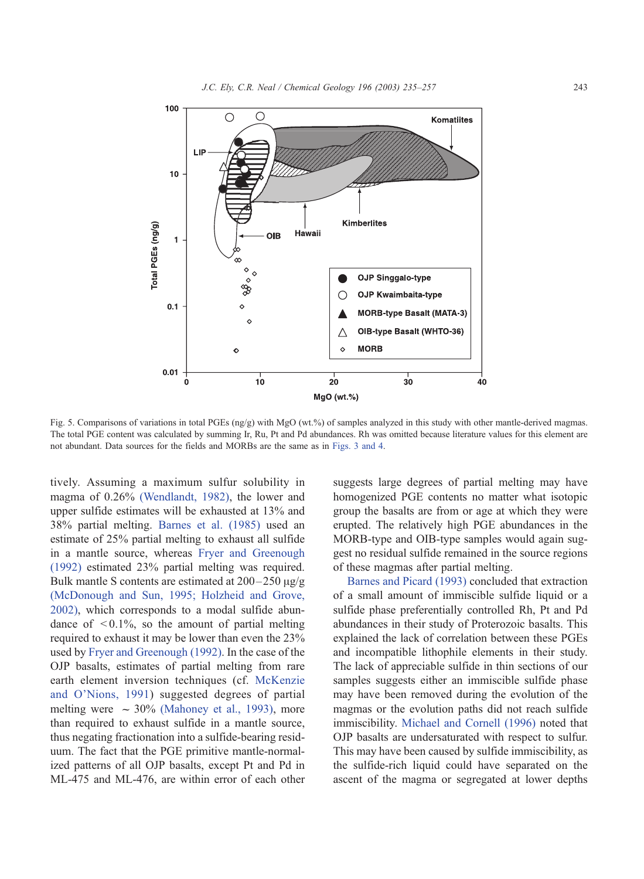<span id="page-8-0"></span>

Fig. 5. Comparisons of variations in total PGEs (ng/g) with MgO (wt.%) of samples analyzed in this study with other mantle-derived magmas. The total PGE content was calculated by summing Ir, Ru, Pt and Pd abundances. Rh was omitted because literature values for this element are not abundant. Data sources for the fields and MORBs are the same as in [Figs. 3 and 4.](#page-6-0)

tively. Assuming a maximum sulfur solubility in magma of 0.26% [\(Wendlandt, 1982\),](#page-22-0) the lower and upper sulfide estimates will be exhausted at 13% and 38% partial melting. [Barnes et al. \(1985\)](#page-19-0) used an estimate of 25% partial melting to exhaust all sulfide in a mantle source, whereas [Fryer and Greenough](#page-20-0) (1992) estimated 23% partial melting was required. Bulk mantle S contents are estimated at  $200-250 \mu g/g$ [\(McDonough and Sun, 1995; Holzheid and Grove,](#page-21-0) 2002), which corresponds to a modal sulfide abundance of  $\leq 0.1\%$ , so the amount of partial melting required to exhaust it may be lower than even the 23% used by [Fryer and Greenough \(1992\).](#page-20-0) In the case of the OJP basalts, estimates of partial melting from rare earth element inversion techniques (cf. [McKenzie](#page-21-0) and O'Nions, 1991) suggested degrees of partial melting were  $\sim 30\%$  [\(Mahoney et al., 1993\),](#page-21-0) more than required to exhaust sulfide in a mantle source, thus negating fractionation into a sulfide-bearing residuum. The fact that the PGE primitive mantle-normalized patterns of all OJP basalts, except Pt and Pd in ML-475 and ML-476, are within error of each other

suggests large degrees of partial melting may have homogenized PGE contents no matter what isotopic group the basalts are from or age at which they were erupted. The relatively high PGE abundances in the MORB-type and OIB-type samples would again suggest no residual sulfide remained in the source regions of these magmas after partial melting.

[Barnes and Picard \(1993\)](#page-19-0) concluded that extraction of a small amount of immiscible sulfide liquid or a sulfide phase preferentially controlled Rh, Pt and Pd abundances in their study of Proterozoic basalts. This explained the lack of correlation between these PGEs and incompatible lithophile elements in their study. The lack of appreciable sulfide in thin sections of our samples suggests either an immiscible sulfide phase may have been removed during the evolution of the magmas or the evolution paths did not reach sulfide immiscibility. [Michael and Cornell \(1996\)](#page-21-0) noted that OJP basalts are undersaturated with respect to sulfur. This may have been caused by sulfide immiscibility, as the sulfide-rich liquid could have separated on the ascent of the magma or segregated at lower depths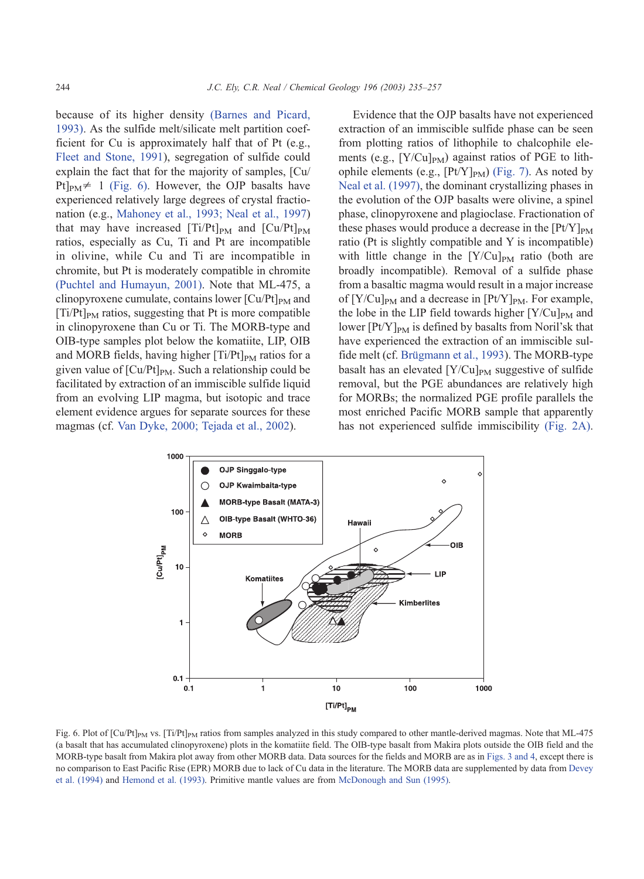because of its higher density [\(Barnes and Picard,](#page-19-0) 1993). As the sulfide melt/silicate melt partition coefficient for Cu is approximately half that of Pt (e.g., [Fleet and Stone, 1991\)](#page-20-0), segregation of sulfide could explain the fact that for the majority of samples, [Cu/ Pt $]_{PM} \neq 1$  (Fig. 6). However, the OJP basalts have experienced relatively large degrees of crystal fractionation (e.g., [Mahoney et al., 1993; Neal et al., 1997\)](#page-21-0) that may have increased  $[Ti/Pt]_{PM}$  and  $[Cu/Pt]_{PM}$ ratios, especially as Cu, Ti and Pt are incompatible in olivine, while Cu and Ti are incompatible in chromite, but Pt is moderately compatible in chromite [\(Puchtel and Humayun, 2001\).](#page-21-0) Note that ML-475, a clinopyroxene cumulate, contains lower  $\lbrack Cu/Pt]_{PM}$  and  $[Ti/Pt]_{PM}$  ratios, suggesting that Pt is more compatible in clinopyroxene than Cu or Ti. The MORB-type and OIB-type samples plot below the komatiite, LIP, OIB and MORB fields, having higher  $[Ti/Pt]_{PM}$  ratios for a given value of  $\left[\text{Cu/Pt}\right]_{\text{PM}}$ . Such a relationship could be facilitated by extraction of an immiscible sulfide liquid from an evolving LIP magma, but isotopic and trace element evidence argues for separate sources for these magmas (cf. [Van Dyke, 2000; Tejada et al., 2002\)](#page-22-0).

Evidence that the OJP basalts have not experienced extraction of an immiscible sulfide phase can be seen from plotting ratios of lithophile to chalcophile elements (e.g.,  $[Y/Cu]_{PM}$ ) against ratios of PGE to lithophile elements (e.g.,  $[Pt/Y]_{PM}$ ) [\(Fig. 7\).](#page-10-0) As noted by [Neal et al. \(1997\),](#page-21-0) the dominant crystallizing phases in the evolution of the OJP basalts were olivine, a spinel phase, clinopyroxene and plagioclase. Fractionation of these phases would produce a decrease in the  $[Pt/Y]_{PM}$ ratio (Pt is slightly compatible and Y is incompatible) with little change in the  $[Y/Cu]_{PM}$  ratio (both are broadly incompatible). Removal of a sulfide phase from a basaltic magma would result in a major increase of  $[Y/Cu]_{PM}$  and a decrease in  $[Pt/Y]_{PM}$ . For example, the lobe in the LIP field towards higher  $[Y/Cu]_{PM}$  and lower  $[Pt/Y]_{PM}$  is defined by basalts from Noril'sk that have experienced the extraction of an immiscible sulfide melt (cf. Brügmann et al., 1993). The MORB-type basalt has an elevated  $[Y/Cu]_{PM}$  suggestive of sulfide removal, but the PGE abundances are relatively high for MORBs; the normalized PGE profile parallels the most enriched Pacific MORB sample that apparently has not experienced sulfide immiscibility [\(Fig. 2A\).](#page-5-0)



Fig. 6. Plot of [Cu/Pt]<sub>PM</sub> vs. [Ti/Pt]<sub>PM</sub> ratios from samples analyzed in this study compared to other mantle-derived magmas. Note that ML-475 (a basalt that has accumulated clinopyroxene) plots in the komatiite field. The OIB-type basalt from Makira plots outside the OIB field and the MORB-type basalt from Makira plot away from other MORB data. Data sources for the fields and MORB are as in [Figs. 3 and 4,](#page-6-0) except there is no comparison to East Pacific Rise (EPR) MORB due to lack of Cu data in the literature. The MORB data are supplemented by data from [Devey](#page-20-0) et al. (1994) and [Hemond et al. \(1993\).](#page-20-0) Primitive mantle values are from [McDonough and Sun \(1995\).](#page-21-0)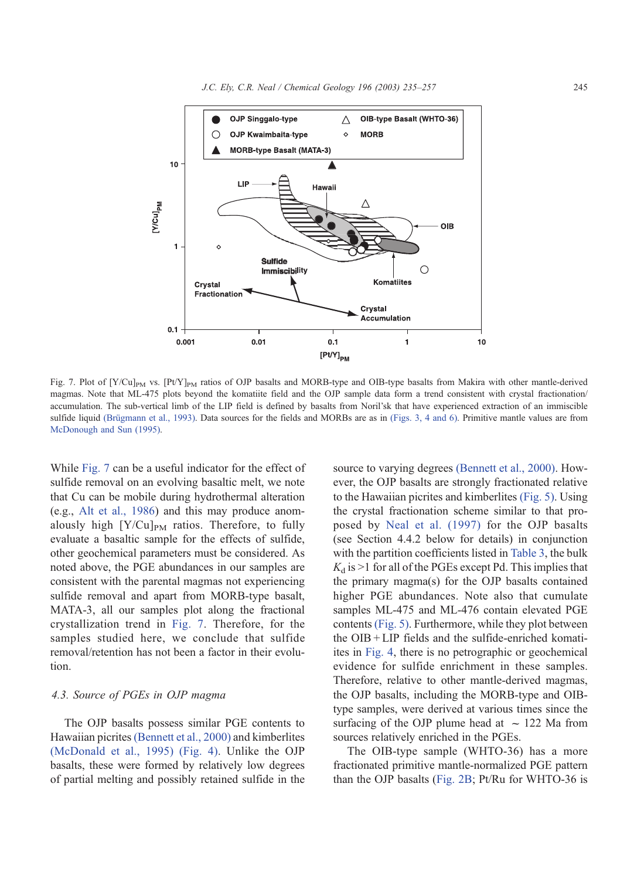<span id="page-10-0"></span>

Fig. 7. Plot of  $[Y/Cu]_{PM}$  vs.  $[PVY]_{PM}$  ratios of OJP basalts and MORB-type and OIB-type basalts from Makira with other mantle-derived magmas. Note that ML-475 plots beyond the komatiite field and the OJP sample data form a trend consistent with crystal fractionation/ accumulation. The sub-vertical limb of the LIP field is defined by basalts from Noril'sk that have experienced extraction of an immiscible sulfide liquid (Brügmann et al., 1993). Data sources for the fields and MORBs are as in [\(Figs. 3, 4 and 6\).](#page-6-0) Primitive mantle values are from [McDonough and Sun \(1995\).](#page-21-0)

While Fig. 7 can be a useful indicator for the effect of sulfide removal on an evolving basaltic melt, we note that Cu can be mobile during hydrothermal alteration (e.g., [Alt et al., 1986\)](#page-19-0) and this may produce anomalously high  $[Y/Cu]_{PM}$  ratios. Therefore, to fully evaluate a basaltic sample for the effects of sulfide, other geochemical parameters must be considered. As noted above, the PGE abundances in our samples are consistent with the parental magmas not experiencing sulfide removal and apart from MORB-type basalt, MATA-3, all our samples plot along the fractional crystallization trend in Fig. 7. Therefore, for the samples studied here, we conclude that sulfide removal/retention has not been a factor in their evolution.

# 4.3. Source of PGEs in OJP magma

The OJP basalts possess similar PGE contents to Hawaiian picrites [\(Bennett et al., 2000\)](#page-19-0) and kimberlites [\(McDonald et al., 1995\)](#page-21-0) [\(Fig. 4\).](#page-7-0) Unlike the OJP basalts, these were formed by relatively low degrees of partial melting and possibly retained sulfide in the source to varying degrees [\(Bennett et al., 2000\).](#page-19-0) However, the OJP basalts are strongly fractionated relative to the Hawaiian picrites and kimberlites [\(Fig. 5\).](#page-8-0) Using the crystal fractionation scheme similar to that proposed by [Neal et al. \(1997\)](#page-21-0) for the OJP basalts (see Section 4.4.2 below for details) in conjunction with the partition coefficients listed in [Table 3,](#page-11-0) the bulk  $K_d$  is  $>1$  for all of the PGEs except Pd. This implies that the primary magma(s) for the OJP basalts contained higher PGE abundances. Note also that cumulate samples ML-475 and ML-476 contain elevated PGE contents [\(Fig. 5\).](#page-8-0) Furthermore, while they plot between the OIB + LIP fields and the sulfide-enriched komatiites in [Fig. 4,](#page-7-0) there is no petrographic or geochemical evidence for sulfide enrichment in these samples. Therefore, relative to other mantle-derived magmas, the OJP basalts, including the MORB-type and OIBtype samples, were derived at various times since the surfacing of the OJP plume head at  $\sim$  122 Ma from sources relatively enriched in the PGEs.

The OIB-type sample (WHTO-36) has a more fractionated primitive mantle-normalized PGE pattern than the OJP basalts ([Fig. 2B;](#page-5-0) Pt/Ru for WHTO-36 is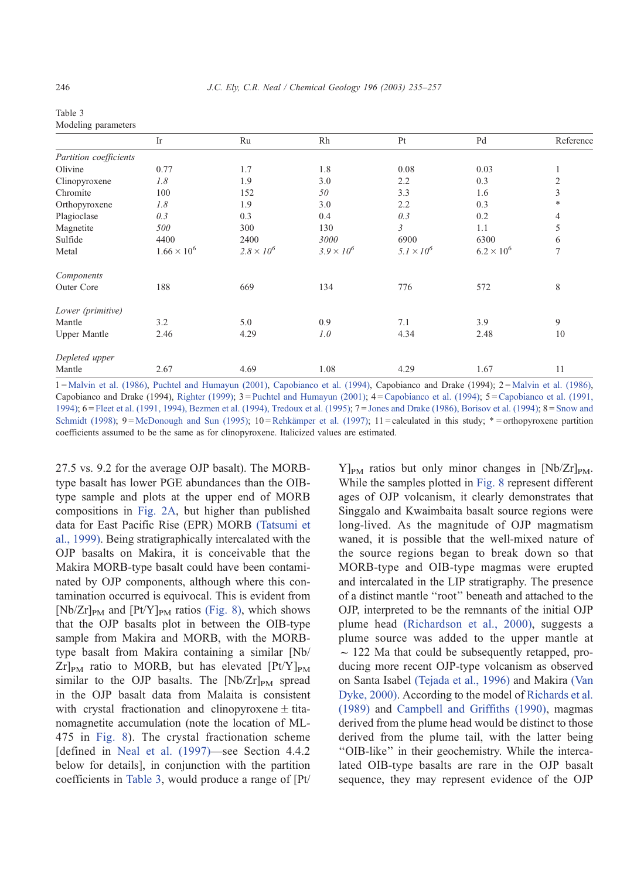<span id="page-11-0"></span>

| Table 3 |                     |
|---------|---------------------|
|         | Modeling parameters |

|                        | Ir                   | Ru                | Rh                  | Pt                | Pd                  | Reference      |
|------------------------|----------------------|-------------------|---------------------|-------------------|---------------------|----------------|
| Partition coefficients |                      |                   |                     |                   |                     |                |
| Olivine                | 0.77                 | 1.7               | 1.8                 | 0.08              | 0.03                | 1              |
| Clinopyroxene          | 1.8                  | 1.9               | 3.0                 | 2.2               | 0.3                 | $\overline{c}$ |
| Chromite               | 100                  | 152               | 50                  | 3.3               | 1.6                 | 3              |
| Orthopyroxene          | 1.8                  | 1.9               | 3.0                 | 2.2               | 0.3                 | *              |
| Plagioclase            | 0.3                  | 0.3               | 0.4                 | 0.3               | 0.2                 | 4              |
| Magnetite              | 500                  | 300               | 130                 | $\mathfrak{Z}$    | 1.1                 | 5              |
| Sulfide                | 4400                 | 2400              | 3000                | 6900              | 6300                | 6              |
| Metal                  | $1.66 \times 10^{6}$ | $2.8 \times 10^6$ | $3.9 \times 10^{6}$ | $5.1 \times 10^6$ | $6.2 \times 10^{6}$ | 7              |
| Components             |                      |                   |                     |                   |                     |                |
| Outer Core             | 188                  | 669               | 134                 | 776               | 572                 | 8              |
| Lower (primitive)      |                      |                   |                     |                   |                     |                |
| Mantle                 | 3.2                  | 5.0               | 0.9                 | 7.1               | 3.9                 | 9              |
| <b>Upper Mantle</b>    | 2.46                 | 4.29              | 1.0                 | 4.34              | 2.48                | 10             |
| Depleted upper         |                      |                   |                     |                   |                     |                |
| Mantle                 | 2.67                 | 4.69              | 1.08                | 4.29              | 1.67                | 11             |

1 = Malvin et al. (1986), Puchtel and Humayun (2001), [Capobianco et al. \(1994\), Capobianco and Drake \(1994\); 2 =](#page-21-0) Malvin et al. (1986), Capobianco and Drake (1994), Righter (1999); 3= Puchtel and Humayun (2001); 4= [Capobianco et al. \(1994\); 5=Capobianco et al. \(1991,](#page-22-0) 1994);6= [Fleet et al. \(1991, 1994\), Bezmen et al. \(1994\), Tredoux et al. \(1995\);7=](#page-20-0) Jones and Drake (1986), Borisov et al. (1994);8= Snow and Schmidt (1998);  $9 = \text{McDonough}$  and Sun (1995);  $10 = \text{Rehkämper}$  et al. (1997);  $11 = \text{calculated}$  in this study;  $* = \text{orthopyroxene}$  partition coefficients assumed to be the same as for clinopyroxene. Italicized values are estimated.

27.5 vs. 9.2 for the average OJP basalt). The MORBtype basalt has lower PGE abundances than the OIBtype sample and plots at the upper end of MORB compositions in [Fig. 2A,](#page-5-0) but higher than published data for East Pacific Rise (EPR) MORB [\(Tatsumi et](#page-22-0) al., 1999). Being stratigraphically intercalated with the OJP basalts on Makira, it is conceivable that the Makira MORB-type basalt could have been contaminated by OJP components, although where this contamination occurred is equivocal. This is evident from  $[Nb/Zr]_{PM}$  and  $[Pt/Y]_{PM}$  ratios [\(Fig. 8\),](#page-12-0) which shows that the OJP basalts plot in between the OIB-type sample from Makira and MORB, with the MORBtype basalt from Makira containing a similar [Nb/  $Zr]_{PM}$  ratio to MORB, but has elevated  $[Pt/Y]_{PM}$ similar to the OJP basalts. The  $[Nb/Zr]_{PM}$  spread in the OJP basalt data from Malaita is consistent with crystal fractionation and clinopyroxene  $\pm$  titanomagnetite accumulation (note the location of ML-475 in [Fig. 8\)](#page-12-0). The crystal fractionation scheme [defined in [Neal et al. \(1997\)—](#page-21-0)see Section 4.4.2 below for details], in conjunction with the partition coefficients in Table 3, would produce a range of [Pt/  $Y$ <sub>PM</sub> ratios but only minor changes in [Nb/Zr]<sub>PM</sub>. While the samples plotted in [Fig. 8](#page-12-0) represent different ages of OJP volcanism, it clearly demonstrates that Singgalo and Kwaimbaita basalt source regions were long-lived. As the magnitude of OJP magmatism waned, it is possible that the well-mixed nature of the source regions began to break down so that MORB-type and OIB-type magmas were erupted and intercalated in the LIP stratigraphy. The presence of a distinct mantle ''root'' beneath and attached to the OJP, interpreted to be the remnants of the initial OJP plume head [\(Richardson et al., 2000\),](#page-22-0) suggests a plume source was added to the upper mantle at  $\sim$  122 Ma that could be subsequently retapped, producing more recent OJP-type volcanism as observed on Santa Isabel [\(Tejada et al., 1996\)](#page-22-0) and Makira [\(Van](#page-22-0) Dyke, 2000). According to the model of [Richards et al.](#page-21-0) (1989) and [Campbell and Griffiths \(1990\),](#page-20-0) magmas derived from the plume head would be distinct to those derived from the plume tail, with the latter being ''OIB-like'' in their geochemistry. While the intercalated OIB-type basalts are rare in the OJP basalt sequence, they may represent evidence of the OJP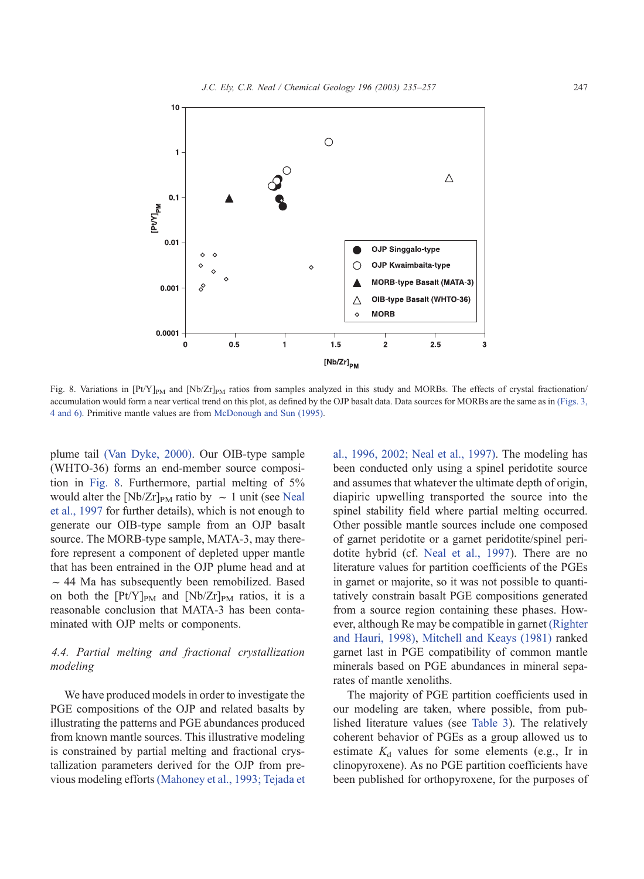<span id="page-12-0"></span>

Fig. 8. Variations in  $[Pt/Y]_{PM}$  and  $[Nb/Zr]_{PM}$  ratios from samples analyzed in this study and MORBs. The effects of crystal fractionation/ accumulation would form a near vertical trend on this plot, as defined by the OJP basalt data. Data sources for MORBs are the same as in [\(Figs. 3,](#page-6-0) 4 and 6). Primitive mantle values are from [McDonough and Sun \(1995\).](#page-21-0)

plume tail [\(Van Dyke, 2000\).](#page-22-0) Our OIB-type sample (WHTO-36) forms an end-member source composition in Fig. 8. Furthermore, partial melting of 5% would alter the [Nb/Zr]<sub>PM</sub> ratio by  $\sim 1$  unit (see [Neal](#page-21-0) et al., 1997 for further details), which is not enough to generate our OIB-type sample from an OJP basalt source. The MORB-type sample, MATA-3, may therefore represent a component of depleted upper mantle that has been entrained in the OJP plume head and at  $\sim$  44 Ma has subsequently been remobilized. Based on both the  $[Pt/Y]_{PM}$  and  $[Nb/Zr]_{PM}$  ratios, it is a reasonable conclusion that MATA-3 has been contaminated with OJP melts or components.

# 4.4. Partial melting and fractional crystallization modeling

We have produced models in order to investigate the PGE compositions of the OJP and related basalts by illustrating the patterns and PGE abundances produced from known mantle sources. This illustrative modeling is constrained by partial melting and fractional crystallization parameters derived for the OJP from previous modeling efforts[\(Mahoney et al., 1993; Tejada et](#page-21-0) al., 1996, 2002; Neal et al., 1997). The modeling has been conducted only using a spinel peridotite source and assumes that whatever the ultimate depth of origin, diapiric upwelling transported the source into the spinel stability field where partial melting occurred. Other possible mantle sources include one composed of garnet peridotite or a garnet peridotite/spinel peridotite hybrid (cf. [Neal et al., 1997\)](#page-21-0). There are no literature values for partition coefficients of the PGEs in garnet or majorite, so it was not possible to quantitatively constrain basalt PGE compositions generated from a source region containing these phases. However, although Re may be compatible in garnet [\(Righter](#page-22-0) and Hauri, 1998), [Mitchell and Keays \(1981\)](#page-21-0) ranked garnet last in PGE compatibility of common mantle minerals based on PGE abundances in mineral separates of mantle xenoliths.

The majority of PGE partition coefficients used in our modeling are taken, where possible, from published literature values (see [Table 3\)](#page-11-0). The relatively coherent behavior of PGEs as a group allowed us to estimate  $K_d$  values for some elements (e.g., Ir in clinopyroxene). As no PGE partition coefficients have been published for orthopyroxene, for the purposes of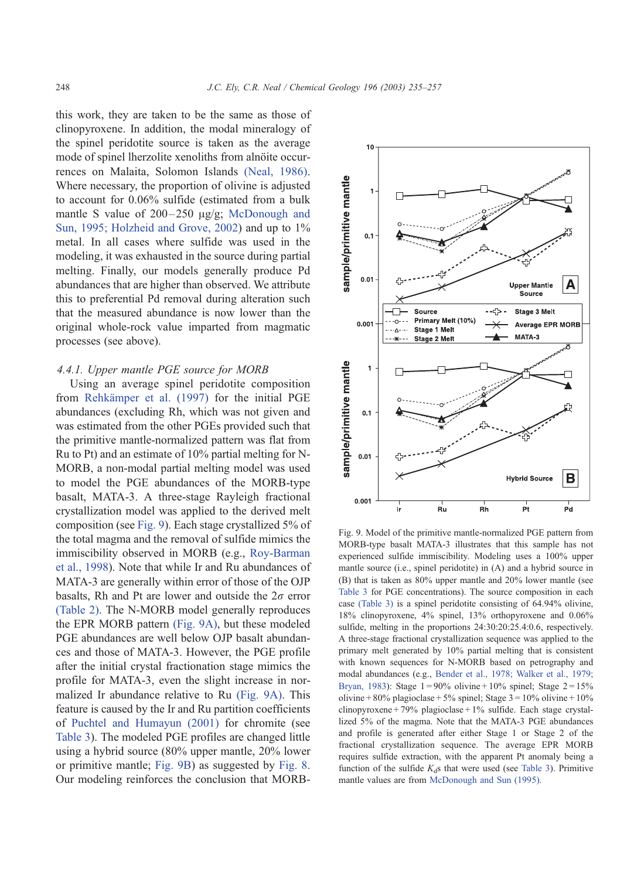<span id="page-13-0"></span>this work, they are taken to be the same as those of clinopyroxene. In addition, the modal mineralogy of the spinel peridotite source is taken as the average mode of spinel lherzolite xenoliths from alnöite occurrences on Malaita, Solomon Islands [\(Neal, 1986\).](#page-21-0) Where necessary, the proportion of olivine is adjusted to account for 0.06% sulfide (estimated from a bulk mantle S value of  $200-250 \text{ u}g/g$ ; [McDonough and](#page-21-0) Sun, 1995; Holzheid and Grove, 2002) and up to  $1\%$ metal. In all cases where sulfide was used in the modeling, it was exhausted in the source during partial melting. Finally, our models generally produce Pd abundances that are higher than observed. We attribute this to preferential Pd removal during alteration such that the measured abundance is now lower than the original whole-rock value imparted from magmatic processes (see above).

# 4.4.1. Upper mantle PGE source for MORB

Using an average spinel peridotite composition from Rehkämper et al. (1997) for the initial PGE abundances (excluding Rh, which was not given and was estimated from the other PGEs provided such that the primitive mantle-normalized pattern was flat from Ru to Pt) and an estimate of 10% partial melting for N-MORB, a non-modal partial melting model was used to model the PGE abundances of the MORB-type basalt, MATA-3. A three-stage Rayleigh fractional crystallization model was applied to the derived melt composition (see Fig. 9). Each stage crystallized 5% of the total magma and the removal of sulfide mimics the immiscibility observed in MORB (e.g., [Roy-Barman](#page-22-0) et al., 1998). Note that while Ir and Ru abundances of MATA-3 are generally within error of those of the OJP basalts, Rh and Pt are lower and outside the  $2\sigma$  error [\(Table 2\).](#page-3-0) The N-MORB model generally reproduces the EPR MORB pattern (Fig. 9A), but these modeled PGE abundances are well below OJP basalt abundances and those of MATA-3. However, the PGE profile after the initial crystal fractionation stage mimics the profile for MATA-3, even the slight increase in normalized Ir abundance relative to Ru (Fig. 9A). This feature is caused by the Ir and Ru partition coefficients of [Puchtel and Humayun \(2001\)](#page-21-0) for chromite (see [Table 3\)](#page-11-0). The modeled PGE profiles are changed little using a hybrid source (80% upper mantle, 20% lower or primitive mantle; Fig. 9B) as suggested by [Fig. 8.](#page-12-0) Our modeling reinforces the conclusion that MORB-



Fig. 9. Model of the primitive mantle-normalized PGE pattern from MORB-type basalt MATA-3 illustrates that this sample has not experienced sulfide immiscibility. Modeling uses a 100% upper mantle source (i.e., spinel peridotite) in (A) and a hybrid source in (B) that is taken as 80% upper mantle and 20% lower mantle (see [Table 3](#page-11-0) for PGE concentrations). The source composition in each case [\(Table 3\)](#page-11-0) is a spinel peridotite consisting of 64.94% olivine, 18% clinopyroxene, 4% spinel, 13% orthopyroxene and 0.06% sulfide, melting in the proportions 24:30:20:25.4:0.6, respectively. A three-stage fractional crystallization sequence was applied to the primary melt generated by 10% partial melting that is consistent with known sequences for N-MORB based on petrography and modal abundances (e.g., [Bender et al., 1978; Walker et al., 1979;](#page-19-0) Bryan, 1983): Stage  $1 = 90\%$  olivine + 10% spinel; Stage  $2 = 15\%$ olivine + 80% plagioclase + 5% spinel; Stage  $3 = 10\%$  olivine + 10% clinopyroxene + 79% plagioclase + 1% sulfide. Each stage crystallized 5% of the magma. Note that the MATA-3 PGE abundances and profile is generated after either Stage 1 or Stage 2 of the fractional crystallization sequence. The average EPR MORB requires sulfide extraction, with the apparent Pt anomaly being a function of the sulfide  $K_d$ s that were used (see [Table 3\)](#page-11-0). Primitive mantle values are from [McDonough and Sun \(1995\).](#page-21-0)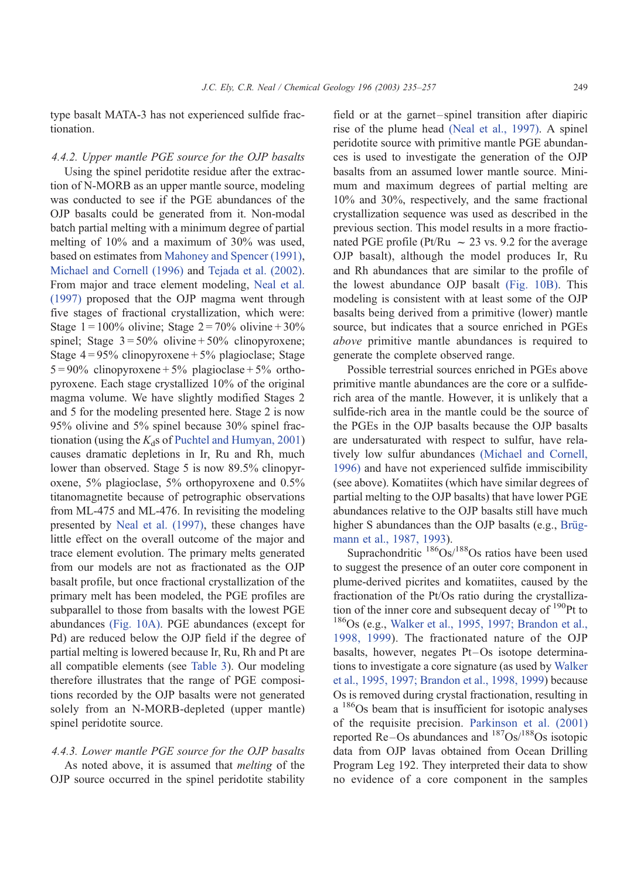type basalt MATA-3 has not experienced sulfide fractionation.

#### 4.4.2. Upper mantle PGE source for the OJP basalts

Using the spinel peridotite residue after the extraction of N-MORB as an upper mantle source, modeling was conducted to see if the PGE abundances of the OJP basalts could be generated from it. Non-modal batch partial melting with a minimum degree of partial melting of 10% and a maximum of 30% was used, based on estimates from [Mahoney and Spencer \(1991\),](#page-21-0) [Michael and Cornell \(1996\)](#page-21-0) and [Tejada et al. \(2002\).](#page-22-0) From major and trace element modeling, [Neal et al.](#page-21-0) (1997) proposed that the OJP magma went through five stages of fractional crystallization, which were: Stage  $1 = 100\%$  olivine; Stage  $2 = 70\%$  olivine + 30% spinel; Stage  $3 = 50\%$  olivine +  $50\%$  clinopyroxene; Stage  $4 = 95\%$  clinopyroxene + 5% plagioclase; Stage  $5 = 90\%$  clinopyroxene + 5% plagioclase + 5% orthopyroxene. Each stage crystallized 10% of the original magma volume. We have slightly modified Stages 2 and 5 for the modeling presented here. Stage 2 is now 95% olivine and 5% spinel because 30% spinel fractionation (using the  $K_d$ s of [Puchtel and Humyan, 2001\)](#page-21-0) causes dramatic depletions in Ir, Ru and Rh, much lower than observed. Stage 5 is now 89.5% clinopyroxene, 5% plagioclase, 5% orthopyroxene and 0.5% titanomagnetite because of petrographic observations from ML-475 and ML-476. In revisiting the modeling presented by [Neal et al. \(1997\),](#page-21-0) these changes have little effect on the overall outcome of the major and trace element evolution. The primary melts generated from our models are not as fractionated as the OJP basalt profile, but once fractional crystallization of the primary melt has been modeled, the PGE profiles are subparallel to those from basalts with the lowest PGE abundances [\(Fig. 10A\).](#page-15-0) PGE abundances (except for Pd) are reduced below the OJP field if the degree of partial melting is lowered because Ir, Ru, Rh and Pt are all compatible elements (see [Table 3\)](#page-11-0). Our modeling therefore illustrates that the range of PGE compositions recorded by the OJP basalts were not generated solely from an N-MORB-depleted (upper mantle) spinel peridotite source.

# 4.4.3. Lower mantle PGE source for the OJP basalts As noted above, it is assumed that melting of the

OJP source occurred in the spinel peridotite stability

field or at the garnet-spinel transition after diapiric rise of the plume head [\(Neal et al., 1997\).](#page-21-0) A spinel peridotite source with primitive mantle PGE abundances is used to investigate the generation of the OJP basalts from an assumed lower mantle source. Minimum and maximum degrees of partial melting are 10% and 30%, respectively, and the same fractional crystallization sequence was used as described in the previous section. This model results in a more fractionated PGE profile (Pt/Ru  $\sim$  23 vs. 9.2 for the average OJP basalt), although the model produces Ir, Ru and Rh abundances that are similar to the profile of the lowest abundance OJP basalt [\(Fig. 10B\).](#page-15-0) This modeling is consistent with at least some of the OJP basalts being derived from a primitive (lower) mantle source, but indicates that a source enriched in PGEs above primitive mantle abundances is required to generate the complete observed range.

Possible terrestrial sources enriched in PGEs above primitive mantle abundances are the core or a sulfiderich area of the mantle. However, it is unlikely that a sulfide-rich area in the mantle could be the source of the PGEs in the OJP basalts because the OJP basalts are undersaturated with respect to sulfur, have relatively low sulfur abundances [\(Michael and Cornell,](#page-21-0) 1996) and have not experienced sulfide immiscibility (see above). Komatiites (which have similar degrees of partial melting to the OJP basalts) that have lower PGE abundances relative to the OJP basalts still have much higher S abundances than the OJP basalts (e.g., Brügmann et al., 1987, 1993).

Suprachondritic  $186\text{Os}/188\text{Os}$  ratios have been used to suggest the presence of an outer core component in plume-derived picrites and komatiites, caused by the fractionation of the Pt/Os ratio during the crystallization of the inner core and subsequent decay of  $190P$ t to  $186$ Os (e.g., [Walker et al., 1995, 1997; Brandon et al.,](#page-22-0) 1998, 1999). The fractionated nature of the OJP basalts, however, negates Pt–Os isotope determinations to investigate a core signature (as used by [Walker](#page-22-0) et al., 1995, 1997; Brandon et al., 1998, 1999) because Os is removed during crystal fractionation, resulting in a 186Os beam that is insufficient for isotopic analyses of the requisite precision. [Parkinson et al. \(2001\)](#page-21-0) reported Re–Os abundances and  $187Os/188Os$  isotopic data from OJP lavas obtained from Ocean Drilling Program Leg 192. They interpreted their data to show no evidence of a core component in the samples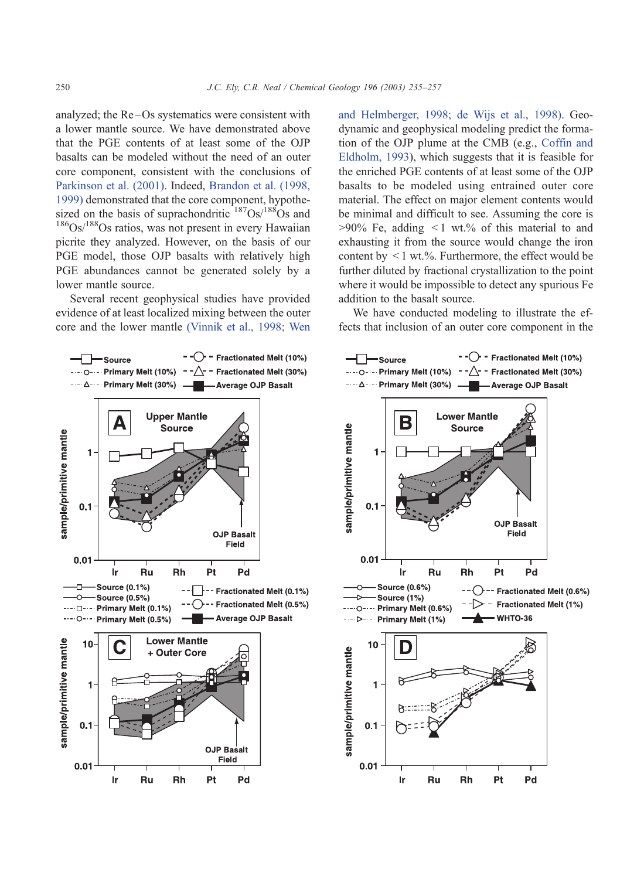<span id="page-15-0"></span>analyzed; the Re-Os systematics were consistent with a lower mantle source. We have demonstrated above that the PGE contents of at least some of the OJP basalts can be modeled without the need of an outer core component, consistent with the conclusions of [Parkinson et al. \(2001\).](#page-21-0) Indeed, [Brandon et al. \(1998,](#page-20-0) 1999) demonstrated that the core component, hypothesized on the basis of suprachondritic  $187Os/188Os$  and  $186$ Os/ $188$ Os ratios, was not present in every Hawaiian picrite they analyzed. However, on the basis of our PGE model, those OJP basalts with relatively high PGE abundances cannot be generated solely by a lower mantle source.

Several recent geophysical studies have provided evidence of at least localized mixing between the outer core and the lower mantle [\(Vinnik et al., 1998; Wen](#page-22-0) and Helmberger, 1998; de Wijs et al., 1998). Geodynamic and geophysical modeling predict the formation of the OJP plume at the CMB (e.g., [Coffin and](#page-20-0) Eldholm, 1993), which suggests that it is feasible for the enriched PGE contents of at least some of the OJP basalts to be modeled using entrained outer core material. The effect on major element contents would be minimal and difficult to see. Assuming the core is  $>90\%$  Fe, adding  $\leq 1$  wt.% of this material to and exhausting it from the source would change the iron content by  $\leq 1$  wt.%. Furthermore, the effect would be further diluted by fractional crystallization to the point where it would be impossible to detect any spurious Fe addition to the basalt source.

We have conducted modeling to illustrate the effects that inclusion of an outer core component in the



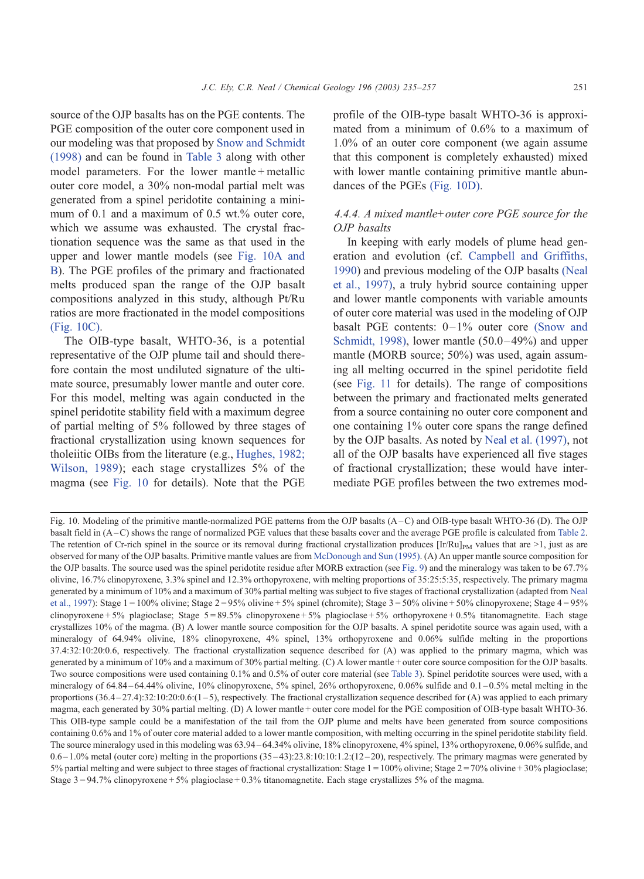source of the OJP basalts has on the PGE contents. The PGE composition of the outer core component used in our modeling was that proposed by [Snow and Schmidt](#page-22-0) (1998) and can be found in [Table 3](#page-11-0) along with other model parameters. For the lower mantle + metallic outer core model, a 30% non-modal partial melt was generated from a spinel peridotite containing a minimum of 0.1 and a maximum of 0.5 wt.% outer core, which we assume was exhausted. The crystal fractionation sequence was the same as that used in the upper and lower mantle models (see [Fig. 10A and](#page-15-0) B). The PGE profiles of the primary and fractionated melts produced span the range of the OJP basalt compositions analyzed in this study, although Pt/Ru ratios are more fractionated in the model compositions [\(Fig. 10C\).](#page-15-0)

The OIB-type basalt, WHTO-36, is a potential representative of the OJP plume tail and should therefore contain the most undiluted signature of the ultimate source, presumably lower mantle and outer core. For this model, melting was again conducted in the spinel peridotite stability field with a maximum degree of partial melting of 5% followed by three stages of fractional crystallization using known sequences for tholeiitic OIBs from the literature (e.g., [Hughes, 1982;](#page-21-0) Wilson, 1989); each stage crystallizes 5% of the magma (see [Fig. 10](#page-15-0) for details). Note that the PGE

profile of the OIB-type basalt WHTO-36 is approximated from a minimum of 0.6% to a maximum of 1.0% of an outer core component (we again assume that this component is completely exhausted) mixed with lower mantle containing primitive mantle abundances of the PGEs [\(Fig. 10D\).](#page-15-0)

# 4.4.4. A mixed mantle+outer core PGE source for the OJP basalts

In keeping with early models of plume head generation and evolution (cf. [Campbell and Griffiths,](#page-20-0) 1990) and previous modeling of the OJP basalts [\(Neal](#page-21-0) et al., 1997), a truly hybrid source containing upper and lower mantle components with variable amounts of outer core material was used in the modeling of OJP basalt PGE contents:  $0-1\%$  outer core [\(Snow and](#page-22-0) Schmidt, 1998), lower mantle  $(50.0-49\%)$  and upper mantle (MORB source; 50%) was used, again assuming all melting occurred in the spinel peridotite field (see [Fig. 11](#page-17-0) for details). The range of compositions between the primary and fractionated melts generated from a source containing no outer core component and one containing 1% outer core spans the range defined by the OJP basalts. As noted by [Neal et al. \(1997\),](#page-21-0) not all of the OJP basalts have experienced all five stages of fractional crystallization; these would have intermediate PGE profiles between the two extremes mod-

Fig. 10. Modeling of the primitive mantle-normalized PGE patterns from the OJP basalts (A –C) and OIB-type basalt WHTO-36 (D). The OJP basalt field in (A –C) shows the range of normalized PGE values that these basalts cover and the average PGE profile is calculated from [Table 2.](#page-3-0) The retention of Cr-rich spinel in the source or its removal during fractional crystallization produces  $[Ir/Ru]_{PM}$  values that are  $>1$ , just as are observed for many of the OJP basalts. Primitive mantle values are from [McDonough and Sun \(1995\).](#page-21-0) (A) An upper mantle source composition for the OJP basalts. The source used was the spinel peridotite residue after MORB extraction (see [Fig. 9\)](#page-13-0) and the mineralogy was taken to be 67.7% olivine, 16.7% clinopyroxene, 3.3% spinel and 12.3% orthopyroxene, with melting proportions of 35:25:5:35, respectively. The primary magma generated by a minimum of 10% and a maximum of 30% partial melting was subject to five stages of fractional crystallization (adapted from [Neal](#page-21-0) et al., 1997): Stage  $1 = 100\%$  olivine; Stage  $2 = 95\%$  olivine + 5% spinel (chromite); Stage  $3 = 50\%$  olivine + 50% clinopyroxene; Stage  $4 = 95\%$ clinopyroxene + 5% plagioclase; Stage  $5 = 89.5\%$  clinopyroxene + 5% plagioclase + 5% orthopyroxene + 0.5% titanomagnetite. Each stage crystallizes 10% of the magma. (B) A lower mantle source composition for the OJP basalts. A spinel peridotite source was again used, with a mineralogy of 64.94% olivine, 18% clinopyroxene, 4% spinel, 13% orthopyroxene and 0.06% sulfide melting in the proportions 37.4:32:10:20:0.6, respectively. The fractional crystallization sequence described for (A) was applied to the primary magma, which was generated by a minimum of 10% and a maximum of 30% partial melting. (C) A lower mantle + outer core source composition for the OJP basalts. Two source compositions were used containing 0.1% and 0.5% of outer core material (see [Table 3\)](#page-11-0). Spinel peridotite sources were used, with a mineralogy of 64.84–64.44% olivine, 10% clinopyroxene, 5% spinel, 26% orthopyroxene, 0.06% sulfide and 0.1–0.5% metal melting in the proportions  $(36.4 - 27.4)$ :32:10:20:0.6: $(1 - 5)$ , respectively. The fractional crystallization sequence described for (A) was applied to each primary magma, each generated by 30% partial melting. (D) A lower mantle + outer core model for the PGE composition of OIB-type basalt WHTO-36. This OIB-type sample could be a manifestation of the tail from the OJP plume and melts have been generated from source compositions containing 0.6% and 1% of outer core material added to a lower mantle composition, with melting occurring in the spinel peridotite stability field. The source mineralogy used in this modeling was 63.94 – 64.34% olivine, 18% clinopyroxene, 4% spinel, 13% orthopyroxene, 0.06% sulfide, and  $0.6 - 1.0\%$  metal (outer core) melting in the proportions  $(35-43):23.8:10:10:1.2:(12-20)$ , respectively. The primary magmas were generated by 5% partial melting and were subject to three stages of fractional crystallization: Stage  $1 = 100\%$  olivine; Stage  $2 = 70\%$  olivine + 30% plagioclase; Stage  $3 = 94.7\%$  clinopyroxene + 5% plagioclase + 0.3% titanomagnetite. Each stage crystallizes 5% of the magma.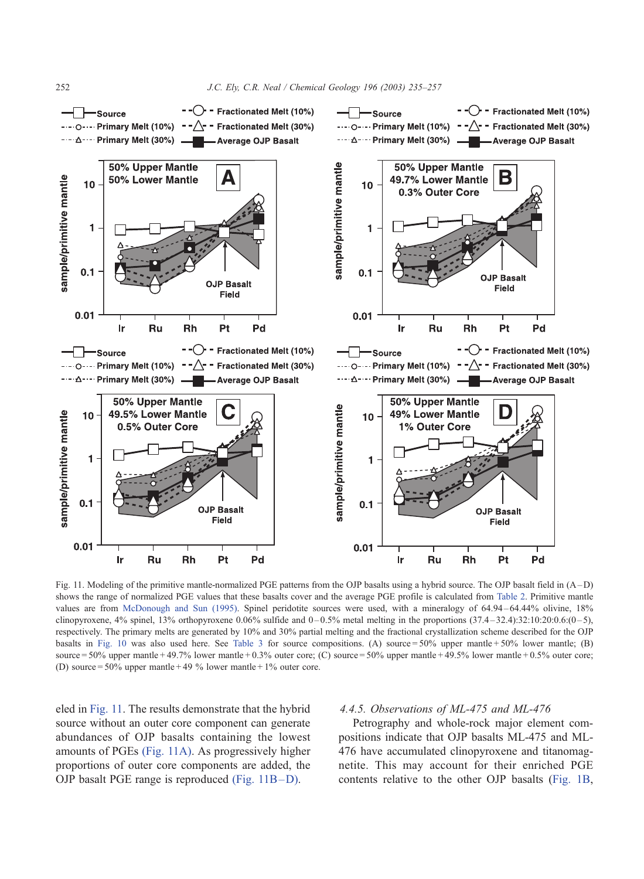<span id="page-17-0"></span>

Fig. 11. Modeling of the primitive mantle-normalized PGE patterns from the OJP basalts using a hybrid source. The OJP basalt field in (A-D) shows the range of normalized PGE values that these basalts cover and the average PGE profile is calculated from [Table 2.](#page-3-0) Primitive mantle values are from [McDonough and Sun \(1995\).](#page-21-0) Spinel peridotite sources were used, with a mineralogy of 64.94 – 64.44% olivine, 18% clinopyroxene,  $4\%$  spinel,  $13\%$  orthopyroxene 0.06% sulfide and  $0-0.5\%$  metal melting in the proportions  $(37.4-32.4):32:10:20:0.6:(0-5)$ , respectively. The primary melts are generated by 10% and 30% partial melting and the fractional crystallization scheme described for the OJP basalts in [Fig. 10](#page-15-0) was also used here. See [Table 3](#page-11-0) for source compositions. (A) source =  $50\%$  upper mantle +  $50\%$  lower mantle; (B) source =  $50\%$  upper mantle + 49.7% lower mantle + 0.3% outer core; (C) source =  $50\%$  upper mantle + 49.5% lower mantle + 0.5% outer core; (D) source = 50% upper mantle + 49 % lower mantle + 1% outer core.

eled in Fig. 11. The results demonstrate that the hybrid source without an outer core component can generate abundances of OJP basalts containing the lowest amounts of PGEs (Fig. 11A). As progressively higher proportions of outer core components are added, the OJP basalt PGE range is reproduced (Fig. 11B –D).

# 4.4.5. Observations of ML-475 and ML-476

Petrography and whole-rock major element compositions indicate that OJP basalts ML-475 and ML-476 have accumulated clinopyroxene and titanomagnetite. This may account for their enriched PGE contents relative to the other OJP basalts ([Fig. 1B,](#page-4-0)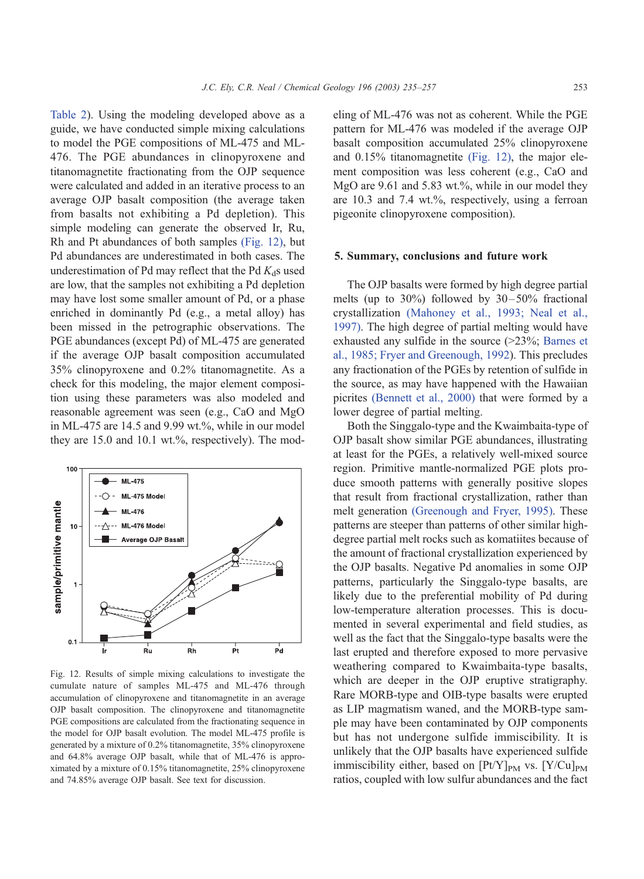[Table 2\)](#page-3-0). Using the modeling developed above as a guide, we have conducted simple mixing calculations to model the PGE compositions of ML-475 and ML-476. The PGE abundances in clinopyroxene and titanomagnetite fractionating from the OJP sequence were calculated and added in an iterative process to an average OJP basalt composition (the average taken from basalts not exhibiting a Pd depletion). This simple modeling can generate the observed Ir, Ru, Rh and Pt abundances of both samples (Fig. 12), but Pd abundances are underestimated in both cases. The underestimation of Pd may reflect that the Pd  $K_d$ s used are low, that the samples not exhibiting a Pd depletion may have lost some smaller amount of Pd, or a phase enriched in dominantly Pd (e.g., a metal alloy) has been missed in the petrographic observations. The PGE abundances (except Pd) of ML-475 are generated if the average OJP basalt composition accumulated 35% clinopyroxene and 0.2% titanomagnetite. As a check for this modeling, the major element composition using these parameters was also modeled and reasonable agreement was seen (e.g., CaO and MgO in ML-475 are 14.5 and 9.99 wt.%, while in our model they are 15.0 and 10.1 wt.%, respectively). The mod-



Fig. 12. Results of simple mixing calculations to investigate the cumulate nature of samples ML-475 and ML-476 through accumulation of clinopyroxene and titanomagnetite in an average OJP basalt composition. The clinopyroxene and titanomagnetite PGE compositions are calculated from the fractionating sequence in the model for OJP basalt evolution. The model ML-475 profile is generated by a mixture of 0.2% titanomagnetite, 35% clinopyroxene and 64.8% average OJP basalt, while that of ML-476 is approximated by a mixture of 0.15% titanomagnetite, 25% clinopyroxene and 74.85% average OJP basalt. See text for discussion.

eling of ML-476 was not as coherent. While the PGE pattern for ML-476 was modeled if the average OJP basalt composition accumulated 25% clinopyroxene and 0.15% titanomagnetite (Fig. 12), the major element composition was less coherent (e.g., CaO and MgO are 9.61 and 5.83 wt.%, while in our model they are 10.3 and 7.4 wt.%, respectively, using a ferroan pigeonite clinopyroxene composition).

#### 5. Summary, conclusions and future work

The OJP basalts were formed by high degree partial melts (up to  $30\%$ ) followed by  $30-50\%$  fractional crystallization [\(Mahoney et al., 1993; Neal et al.,](#page-21-0) 1997). The high degree of partial melting would have exhausted any sulfide in the source (>23%; [Barnes et](#page-19-0) al., 1985; Fryer and Greenough, 1992). This precludes any fractionation of the PGEs by retention of sulfide in the source, as may have happened with the Hawaiian picrites [\(Bennett et al., 2000\)](#page-19-0) that were formed by a lower degree of partial melting.

Both the Singgalo-type and the Kwaimbaita-type of OJP basalt show similar PGE abundances, illustrating at least for the PGEs, a relatively well-mixed source region. Primitive mantle-normalized PGE plots produce smooth patterns with generally positive slopes that result from fractional crystallization, rather than melt generation [\(Greenough and Fryer, 1995\).](#page-20-0) These patterns are steeper than patterns of other similar highdegree partial melt rocks such as komatiites because of the amount of fractional crystallization experienced by the OJP basalts. Negative Pd anomalies in some OJP patterns, particularly the Singgalo-type basalts, are likely due to the preferential mobility of Pd during low-temperature alteration processes. This is documented in several experimental and field studies, as well as the fact that the Singgalo-type basalts were the last erupted and therefore exposed to more pervasive weathering compared to Kwaimbaita-type basalts, which are deeper in the OJP eruptive stratigraphy. Rare MORB-type and OIB-type basalts were erupted as LIP magmatism waned, and the MORB-type sample may have been contaminated by OJP components but has not undergone sulfide immiscibility. It is unlikely that the OJP basalts have experienced sulfide immiscibility either, based on  $[Pt/Y]_{PM}$  vs.  $[Y/Cu]_{PM}$ ratios, coupled with low sulfur abundances and the fact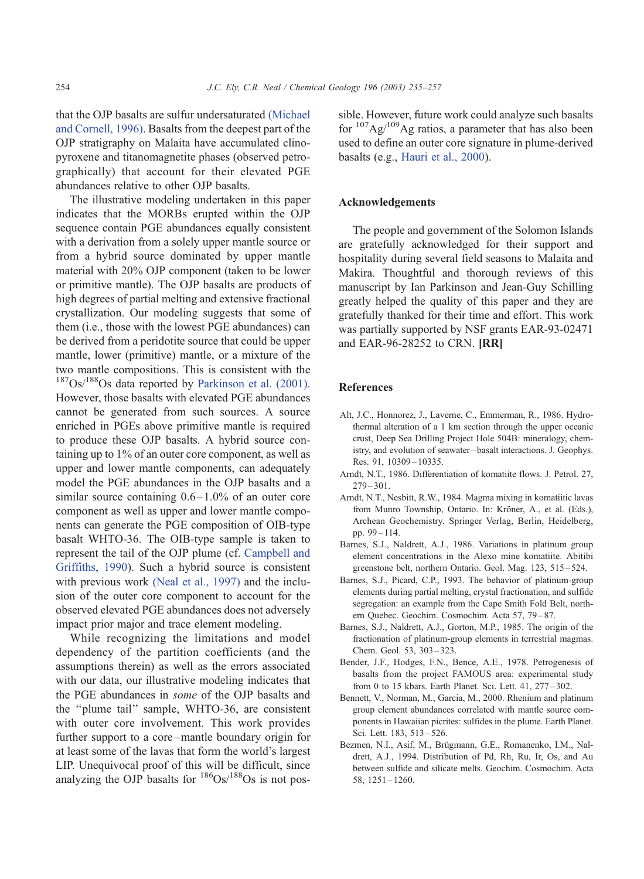<span id="page-19-0"></span>that the OJP basalts are sulfur undersaturated [\(Michael](#page-21-0) and Cornell, 1996). Basalts from the deepest part of the OJP stratigraphy on Malaita have accumulated clinopyroxene and titanomagnetite phases (observed petrographically) that account for their elevated PGE abundances relative to other OJP basalts.

The illustrative modeling undertaken in this paper indicates that the MORBs erupted within the OJP sequence contain PGE abundances equally consistent with a derivation from a solely upper mantle source or from a hybrid source dominated by upper mantle material with 20% OJP component (taken to be lower or primitive mantle). The OJP basalts are products of high degrees of partial melting and extensive fractional crystallization. Our modeling suggests that some of them (i.e., those with the lowest PGE abundances) can be derived from a peridotite source that could be upper mantle, lower (primitive) mantle, or a mixture of the two mantle compositions. This is consistent with the  $187Os/188Os$  data reported by [Parkinson et al. \(2001\).](#page-21-0) However, those basalts with elevated PGE abundances cannot be generated from such sources. A source enriched in PGEs above primitive mantle is required to produce these OJP basalts. A hybrid source containing up to 1% of an outer core component, as well as upper and lower mantle components, can adequately model the PGE abundances in the OJP basalts and a similar source containing  $0.6-1.0\%$  of an outer core component as well as upper and lower mantle components can generate the PGE composition of OIB-type basalt WHTO-36. The OIB-type sample is taken to represent the tail of the OJP plume (cf. [Campbell and](#page-20-0) Griffiths, 1990). Such a hybrid source is consistent with previous work [\(Neal et al., 1997\)](#page-21-0) and the inclusion of the outer core component to account for the observed elevated PGE abundances does not adversely impact prior major and trace element modeling.

While recognizing the limitations and model dependency of the partition coefficients (and the assumptions therein) as well as the errors associated with our data, our illustrative modeling indicates that the PGE abundances in some of the OJP basalts and the ''plume tail'' sample, WHTO-36, are consistent with outer core involvement. This work provides further support to a core –mantle boundary origin for at least some of the lavas that form the world's largest LIP. Unequivocal proof of this will be difficult, since analyzing the OJP basalts for  $186$ Os/ $188$ Os is not possible. However, future work could analyze such basalts for  $107\text{Ag}/109\text{Ag}$  ratios, a parameter that has also been used to define an outer core signature in plume-derived basalts (e.g., [Hauri et al., 2000\)](#page-20-0).

# Acknowledgements

The people and government of the Solomon Islands are gratefully acknowledged for their support and hospitality during several field seasons to Malaita and Makira. Thoughtful and thorough reviews of this manuscript by Ian Parkinson and Jean-Guy Schilling greatly helped the quality of this paper and they are gratefully thanked for their time and effort. This work was partially supported by NSF grants EAR-93-02471 and EAR-96-28252 to CRN. [RR]

# References

- Alt, J.C., Honnorez, J., Laverne, C., Emmerman, R., 1986. Hydrothermal alteration of a 1 km section through the upper oceanic crust, Deep Sea Drilling Project Hole 504B: mineralogy, chemistry, and evolution of seawater – basalt interactions. J. Geophys. Res. 91, 10309-10335.
- Arndt, N.T., 1986. Differentiation of komatiite flows. J. Petrol. 27,  $279 - 301.$
- Arndt, N.T., Nesbitt, R.W., 1984. Magma mixing in komatiitic lavas from Munro Township, Ontario. In: Kröner, A., et al. (Eds.), Archean Geochemistry. Springer Verlag, Berlin, Heidelberg, pp. 99 – 114.
- Barnes, S.J., Naldrett, A.J., 1986. Variations in platinum group element concentrations in the Alexo mine komatiite. Abitibi greenstone belt, northern Ontario. Geol. Mag. 123, 515 – 524.
- Barnes, S.J., Picard, C.P., 1993. The behavior of platinum-group elements during partial melting, crystal fractionation, and sulfide segregation: an example from the Cape Smith Fold Belt, northern Quebec. Geochim. Cosmochim. Acta 57, 79 – 87.
- Barnes, S.J., Naldrett, A.J., Gorton, M.P., 1985. The origin of the fractionation of platinum-group elements in terrestrial magmas. Chem. Geol. 53, 303 – 323.
- Bender, J.F., Hodges, F.N., Bence, A.E., 1978. Petrogenesis of basalts from the project FAMOUS area: experimental study from 0 to 15 kbars. Earth Planet. Sci. Lett. 41, 277 – 302.
- Bennett, V., Norman, M., Garcia, M., 2000. Rhenium and platinum group element abundances correlated with mantle source components in Hawaiian picrites: sulfides in the plume. Earth Planet. Sci. Lett. 183, 513 – 526.
- Bezmen, N.I., Asif, M., Brügmann, G.E., Romanenko, I.M., Naldrett, A.J., 1994. Distribution of Pd, Rh, Ru, Ir, Os, and Au between sulfide and silicate melts. Geochim. Cosmochim. Acta 58, 1251 – 1260.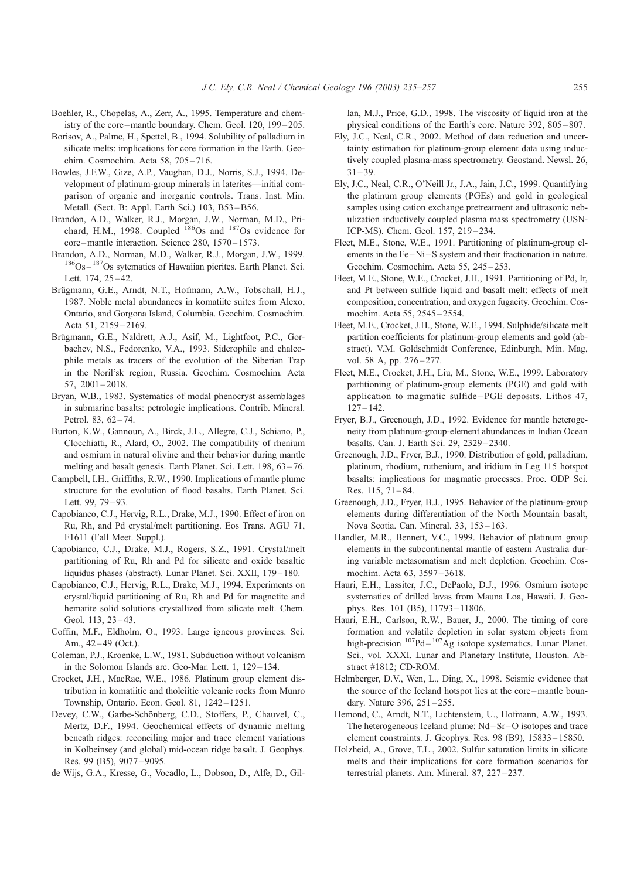- <span id="page-20-0"></span>Boehler, R., Chopelas, A., Zerr, A., 1995. Temperature and chemistry of the core –mantle boundary. Chem. Geol. 120, 199 – 205.
- Borisov, A., Palme, H., Spettel, B., 1994. Solubility of palladium in silicate melts: implications for core formation in the Earth. Geochim. Cosmochim. Acta 58, 705 – 716.
- Bowles, J.F.W., Gize, A.P., Vaughan, D.J., Norris, S.J., 1994. Development of platinum-group minerals in laterites—initial comparison of organic and inorganic controls. Trans. Inst. Min. Metall. (Sect. B: Appl. Earth Sci.) 103, B53-B56.
- Brandon, A.D., Walker, R.J., Morgan, J.W., Norman, M.D., Prichard, H.M., 1998. Coupled <sup>186</sup>Os and <sup>187</sup>Os evidence for core –mantle interaction. Science 280, 1570 – 1573.
- Brandon, A.D., Norman, M.D., Walker, R.J., Morgan, J.W., 1999. <sup>186</sup>Os <sup>187</sup>Os sytematics of Hawaiian picrites. Earth Planet. Sci. Lett. 174, 25-42.
- Brügmann, G.E., Arndt, N.T., Hofmann, A.W., Tobschall, H.J., 1987. Noble metal abundances in komatiite suites from Alexo, Ontario, and Gorgona Island, Columbia. Geochim. Cosmochim. Acta 51, 2159-2169.
- Brügmann, G.E., Naldrett, A.J., Asif, M., Lightfoot, P.C., Gorbachev, N.S., Fedorenko, V.A., 1993. Siderophile and chalcophile metals as tracers of the evolution of the Siberian Trap in the Noril'sk region, Russia. Geochim. Cosmochim. Acta 57, 2001 – 2018.
- Bryan, W.B., 1983. Systematics of modal phenocryst assemblages in submarine basalts: petrologic implications. Contrib. Mineral. Petrol. 83, 62-74.
- Burton, K.W., Gannoun, A., Birck, J.L., Allegre, C.J., Schiano, P., Clocchiatti, R., Alard, O., 2002. The compatibility of rhenium and osmium in natural olivine and their behavior during mantle melting and basalt genesis. Earth Planet. Sci. Lett. 198, 63-76.
- Campbell, I.H., Griffiths, R.W., 1990. Implications of mantle plume structure for the evolution of flood basalts. Earth Planet. Sci. Lett. 99, 79-93.
- Capobianco, C.J., Hervig, R.L., Drake, M.J., 1990. Effect of iron on Ru, Rh, and Pd crystal/melt partitioning. Eos Trans. AGU 71, F1611 (Fall Meet. Suppl.).
- Capobianco, C.J., Drake, M.J., Rogers, S.Z., 1991. Crystal/melt partitioning of Ru, Rh and Pd for silicate and oxide basaltic liquidus phases (abstract). Lunar Planet. Sci. XXII, 179-180.
- Capobianco, C.J., Hervig, R.L., Drake, M.J., 1994. Experiments on crystal/liquid partitioning of Ru, Rh and Pd for magnetite and hematite solid solutions crystallized from silicate melt. Chem. Geol. 113, 23-43.
- Coffin, M.F., Eldholm, O., 1993. Large igneous provinces. Sci. Am., 42-49 (Oct.).
- Coleman, P.J., Kroenke, L.W., 1981. Subduction without volcanism in the Solomon Islands arc. Geo-Mar. Lett. 1, 129 – 134.
- Crocket, J.H., MacRae, W.E., 1986. Platinum group element distribution in komatiitic and tholeiitic volcanic rocks from Munro Township, Ontario. Econ. Geol. 81, 1242 – 1251.
- Devey, C.W., Garbe-Schönberg, C.D., Stoffers, P., Chauvel, C., Mertz, D.F., 1994. Geochemical effects of dynamic melting beneath ridges: reconciling major and trace element variations in Kolbeinsey (and global) mid-ocean ridge basalt. J. Geophys. Res. 99 (B5), 9077 – 9095.
- de Wijs, G.A., Kresse, G., Vocadlo, L., Dobson, D., Alfe, D., Gil-

lan, M.J., Price, G.D., 1998. The viscosity of liquid iron at the physical conditions of the Earth's core. Nature 392, 805 – 807.

- Ely, J.C., Neal, C.R., 2002. Method of data reduction and uncertainty estimation for platinum-group element data using inductively coupled plasma-mass spectrometry. Geostand. Newsl. 26,  $31 - 39.$
- Ely, J.C., Neal, C.R., O'Neill Jr., J.A., Jain, J.C., 1999. Quantifying the platinum group elements (PGEs) and gold in geological samples using cation exchange pretreatment and ultrasonic nebulization inductively coupled plasma mass spectrometry (USN-ICP-MS). Chem. Geol. 157, 219 – 234.
- Fleet, M.E., Stone, W.E., 1991. Partitioning of platinum-group elements in the Fe-Ni-S system and their fractionation in nature. Geochim. Cosmochim. Acta 55, 245 – 253.
- Fleet, M.E., Stone, W.E., Crocket, J.H., 1991. Partitioning of Pd, Ir, and Pt between sulfide liquid and basalt melt: effects of melt composition, concentration, and oxygen fugacity. Geochim. Cosmochim. Acta 55, 2545 – 2554.
- Fleet, M.E., Crocket, J.H., Stone, W.E., 1994. Sulphide/silicate melt partition coefficients for platinum-group elements and gold (abstract). V.M. Goldschmidt Conference, Edinburgh, Min. Mag, vol. 58 A, pp. 276-277.
- Fleet, M.E., Crocket, J.H., Liu, M., Stone, W.E., 1999. Laboratory partitioning of platinum-group elements (PGE) and gold with application to magmatic sulfide – PGE deposits. Lithos 47,  $127 - 142.$
- Fryer, B.J., Greenough, J.D., 1992. Evidence for mantle heterogeneity from platinum-group-element abundances in Indian Ocean basalts. Can. J. Earth Sci. 29, 2329 – 2340.
- Greenough, J.D., Fryer, B.J., 1990. Distribution of gold, palladium, platinum, rhodium, ruthenium, and iridium in Leg 115 hotspot basalts: implications for magmatic processes. Proc. ODP Sci. Res.  $115, 71 - 84.$
- Greenough, J.D., Fryer, B.J., 1995. Behavior of the platinum-group elements during differentiation of the North Mountain basalt, Nova Scotia. Can. Mineral. 33, 153-163.
- Handler, M.R., Bennett, V.C., 1999. Behavior of platinum group elements in the subcontinental mantle of eastern Australia during variable metasomatism and melt depletion. Geochim. Cosmochim. Acta 63, 3597 – 3618.
- Hauri, E.H., Lassiter, J.C., DePaolo, D.J., 1996. Osmium isotope systematics of drilled lavas from Mauna Loa, Hawaii. J. Geophys. Res. 101 (B5), 11793 – 11806.
- Hauri, E.H., Carlson, R.W., Bauer, J., 2000. The timing of core formation and volatile depletion in solar system objects from high-precision  $^{107}Pd - ^{107}Ag$  isotope systematics. Lunar Planet. Sci., vol. XXXI. Lunar and Planetary Institute, Houston. Abstract #1812; CD-ROM.
- Helmberger, D.V., Wen, L., Ding, X., 1998. Seismic evidence that the source of the Iceland hotspot lies at the core –mantle boundary. Nature 396, 251-255.
- Hemond, C., Arndt, N.T., Lichtenstein, U., Hofmann, A.W., 1993. The heterogeneous Iceland plume: Nd – Sr – O isotopes and trace element constraints. J. Geophys. Res. 98 (B9), 15833 – 15850.
- Holzheid, A., Grove, T.L., 2002. Sulfur saturation limits in silicate melts and their implications for core formation scenarios for terrestrial planets. Am. Mineral. 87, 227 – 237.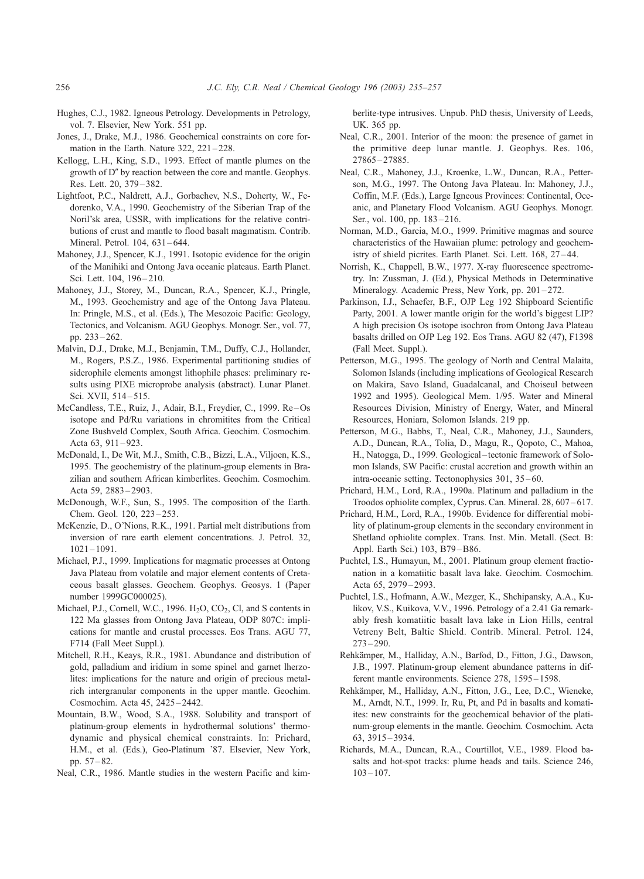- <span id="page-21-0"></span>Hughes, C.J., 1982. Igneous Petrology. Developments in Petrology, vol. 7. Elsevier, New York. 551 pp.
- Jones, J., Drake, M.J., 1986. Geochemical constraints on core formation in the Earth. Nature 322, 221-228.
- Kellogg, L.H., King, S.D., 1993. Effect of mantle plumes on the growth of  $D''$  by reaction between the core and mantle. Geophys. Res. Lett. 20, 379 – 382.
- Lightfoot, P.C., Naldrett, A.J., Gorbachev, N.S., Doherty, W., Fedorenko, V.A., 1990. Geochemistry of the Siberian Trap of the Noril'sk area, USSR, with implications for the relative contributions of crust and mantle to flood basalt magmatism. Contrib. Mineral. Petrol. 104, 631-644.
- Mahoney, J.J., Spencer, K.J., 1991. Isotopic evidence for the origin of the Manihiki and Ontong Java oceanic plateaus. Earth Planet. Sci. Lett. 104, 196-210.
- Mahoney, J.J., Storey, M., Duncan, R.A., Spencer, K.J., Pringle, M., 1993. Geochemistry and age of the Ontong Java Plateau. In: Pringle, M.S., et al. (Eds.), The Mesozoic Pacific: Geology, Tectonics, and Volcanism. AGU Geophys. Monogr. Ser., vol. 77, pp. 233 – 262.
- Malvin, D.J., Drake, M.J., Benjamin, T.M., Duffy, C.J., Hollander, M., Rogers, P.S.Z., 1986. Experimental partitioning studies of siderophile elements amongst lithophile phases: preliminary results using PIXE microprobe analysis (abstract). Lunar Planet. Sci. XVII, 514 – 515.
- McCandless, T.E., Ruiz, J., Adair, B.I., Freydier, C., 1999. Re Os isotope and Pd/Ru variations in chromitites from the Critical Zone Bushveld Complex, South Africa. Geochim. Cosmochim. Acta  $63$ ,  $911 - 923$
- McDonald, I., De Wit, M.J., Smith, C.B., Bizzi, L.A., Viljoen, K.S., 1995. The geochemistry of the platinum-group elements in Brazilian and southern African kimberlites. Geochim. Cosmochim. Acta 59, 2883 – 2903.
- McDonough, W.F., Sun, S., 1995. The composition of the Earth. Chem. Geol. 120, 223 – 253.
- McKenzie, D., O'Nions, R.K., 1991. Partial melt distributions from inversion of rare earth element concentrations. J. Petrol. 32,  $1021 - 1091$
- Michael, P.J., 1999. Implications for magmatic processes at Ontong Java Plateau from volatile and major element contents of Cretaceous basalt glasses. Geochem. Geophys. Geosys. 1 (Paper number 1999GC000025).
- Michael, P.J., Cornell, W.C., 1996.  $H_2O$ ,  $CO_2$ , Cl, and S contents in 122 Ma glasses from Ontong Java Plateau, ODP 807C: implications for mantle and crustal processes. Eos Trans. AGU 77, F714 (Fall Meet Suppl.).
- Mitchell, R.H., Keays, R.R., 1981. Abundance and distribution of gold, palladium and iridium in some spinel and garnet lherzolites: implications for the nature and origin of precious metalrich intergranular components in the upper mantle. Geochim. Cosmochim. Acta 45, 2425 – 2442.
- Mountain, B.W., Wood, S.A., 1988. Solubility and transport of platinum-group elements in hydrothermal solutions' thermodynamic and physical chemical constraints. In: Prichard, H.M., et al. (Eds.), Geo-Platinum '87. Elsevier, New York, pp. 57 – 82.
- Neal, C.R., 1986. Mantle studies in the western Pacific and kim-

berlite-type intrusives. Unpub. PhD thesis, University of Leeds, UK. 365 pp.

- Neal, C.R., 2001. Interior of the moon: the presence of garnet in the primitive deep lunar mantle. J. Geophys. Res. 106, 27865 – 27885.
- Neal, C.R., Mahoney, J.J., Kroenke, L.W., Duncan, R.A., Petterson, M.G., 1997. The Ontong Java Plateau. In: Mahoney, J.J., Coffin, M.F. (Eds.), Large Igneous Provinces: Continental, Oceanic, and Planetary Flood Volcanism. AGU Geophys. Monogr. Ser., vol. 100, pp. 183-216.
- Norman, M.D., Garcia, M.O., 1999. Primitive magmas and source characteristics of the Hawaiian plume: petrology and geochemistry of shield picrites. Earth Planet. Sci. Lett. 168, 27 – 44.
- Norrish, K., Chappell, B.W., 1977. X-ray fluorescence spectrometry. In: Zussman, J. (Ed.), Physical Methods in Determinative Mineralogy. Academic Press, New York, pp. 201-272.
- Parkinson, I.J., Schaefer, B.F., OJP Leg 192 Shipboard Scientific Party, 2001. A lower mantle origin for the world's biggest LIP? A high precision Os isotope isochron from Ontong Java Plateau basalts drilled on OJP Leg 192. Eos Trans. AGU 82 (47), F1398 (Fall Meet. Suppl.).
- Petterson, M.G., 1995. The geology of North and Central Malaita, Solomon Islands (including implications of Geological Research on Makira, Savo Island, Guadalcanal, and Choiseul between 1992 and 1995). Geological Mem. 1/95. Water and Mineral Resources Division, Ministry of Energy, Water, and Mineral Resources, Honiara, Solomon Islands. 219 pp.
- Petterson, M.G., Babbs, T., Neal, C.R., Mahoney, J.J., Saunders, A.D., Duncan, R.A., Tolia, D., Magu, R., Qopoto, C., Mahoa, H., Natogga, D., 1999. Geological-tectonic framework of Solomon Islands, SW Pacific: crustal accretion and growth within an intra-oceanic setting. Tectonophysics 301, 35 – 60.
- Prichard, H.M., Lord, R.A., 1990a. Platinum and palladium in the Troodos ophiolite complex, Cyprus. Can. Mineral. 28, 607 – 617.
- Prichard, H.M., Lord, R.A., 1990b. Evidence for differential mobility of platinum-group elements in the secondary environment in Shetland ophiolite complex. Trans. Inst. Min. Metall. (Sect. B: Appl. Earth Sci.) 103, B79 –B86.
- Puchtel, I.S., Humayun, M., 2001. Platinum group element fractionation in a komatiitic basalt lava lake. Geochim. Cosmochim. Acta 65, 2979 – 2993.
- Puchtel, I.S., Hofmann, A.W., Mezger, K., Shchipansky, A.A., Kulikov, V.S., Kuikova, V.V., 1996. Petrology of a 2.41 Ga remarkably fresh komatiitic basalt lava lake in Lion Hills, central Vetreny Belt, Baltic Shield. Contrib. Mineral. Petrol. 124,  $273 - 290.$
- Rehkämper, M., Halliday, A.N., Barfod, D., Fitton, J.G., Dawson, J.B., 1997. Platinum-group element abundance patterns in different mantle environments. Science 278, 1595 – 1598.
- Rehkämper, M., Halliday, A.N., Fitton, J.G., Lee, D.C., Wieneke, M., Arndt, N.T., 1999. Ir, Ru, Pt, and Pd in basalts and komatiites: new constraints for the geochemical behavior of the platinum-group elements in the mantle. Geochim. Cosmochim. Acta 63, 3915 – 3934.
- Richards, M.A., Duncan, R.A., Courtillot, V.E., 1989. Flood basalts and hot-spot tracks: plume heads and tails. Science 246,  $103 - 107$ .